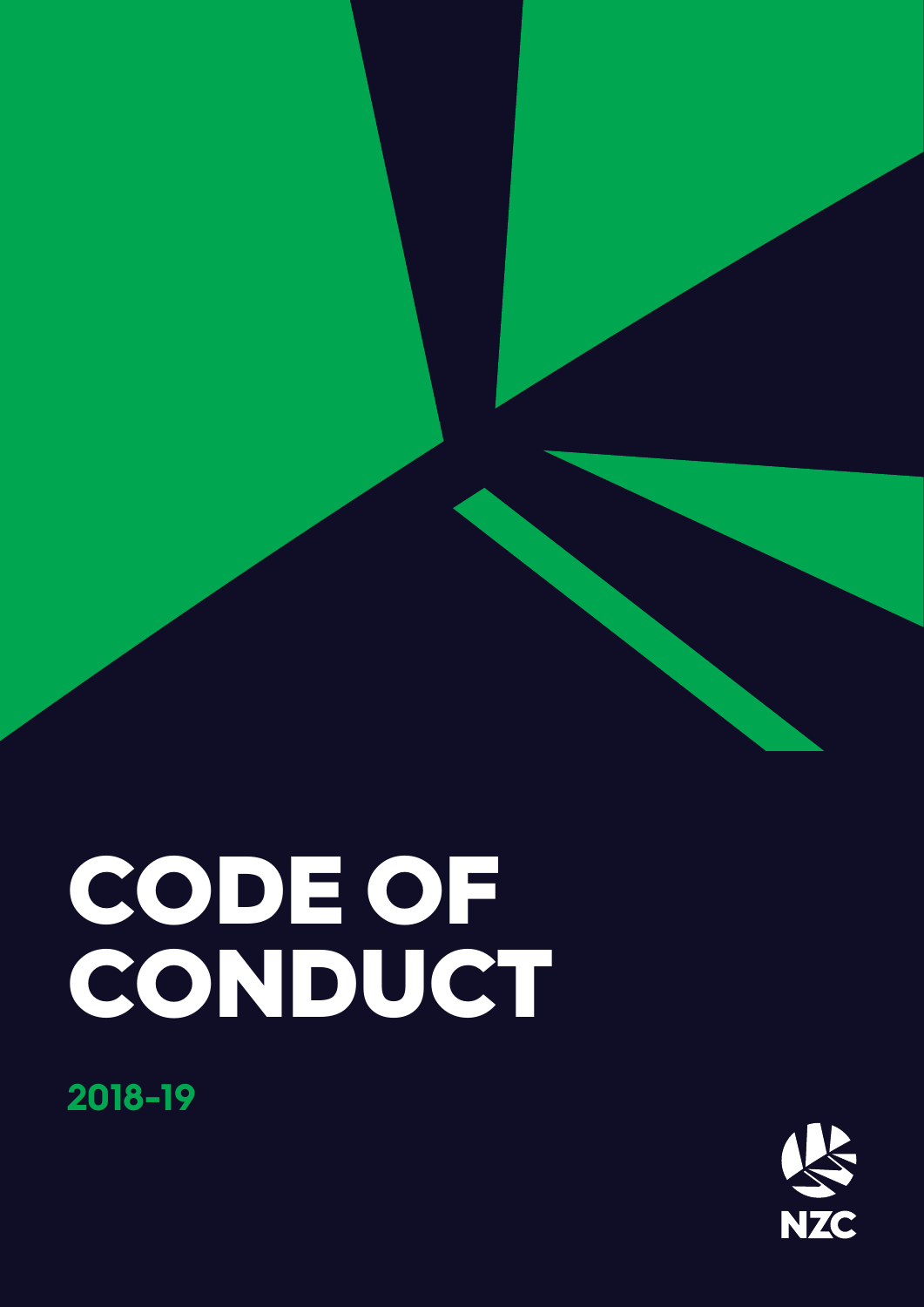

# **2018-19**

# CODE OF CONDUCT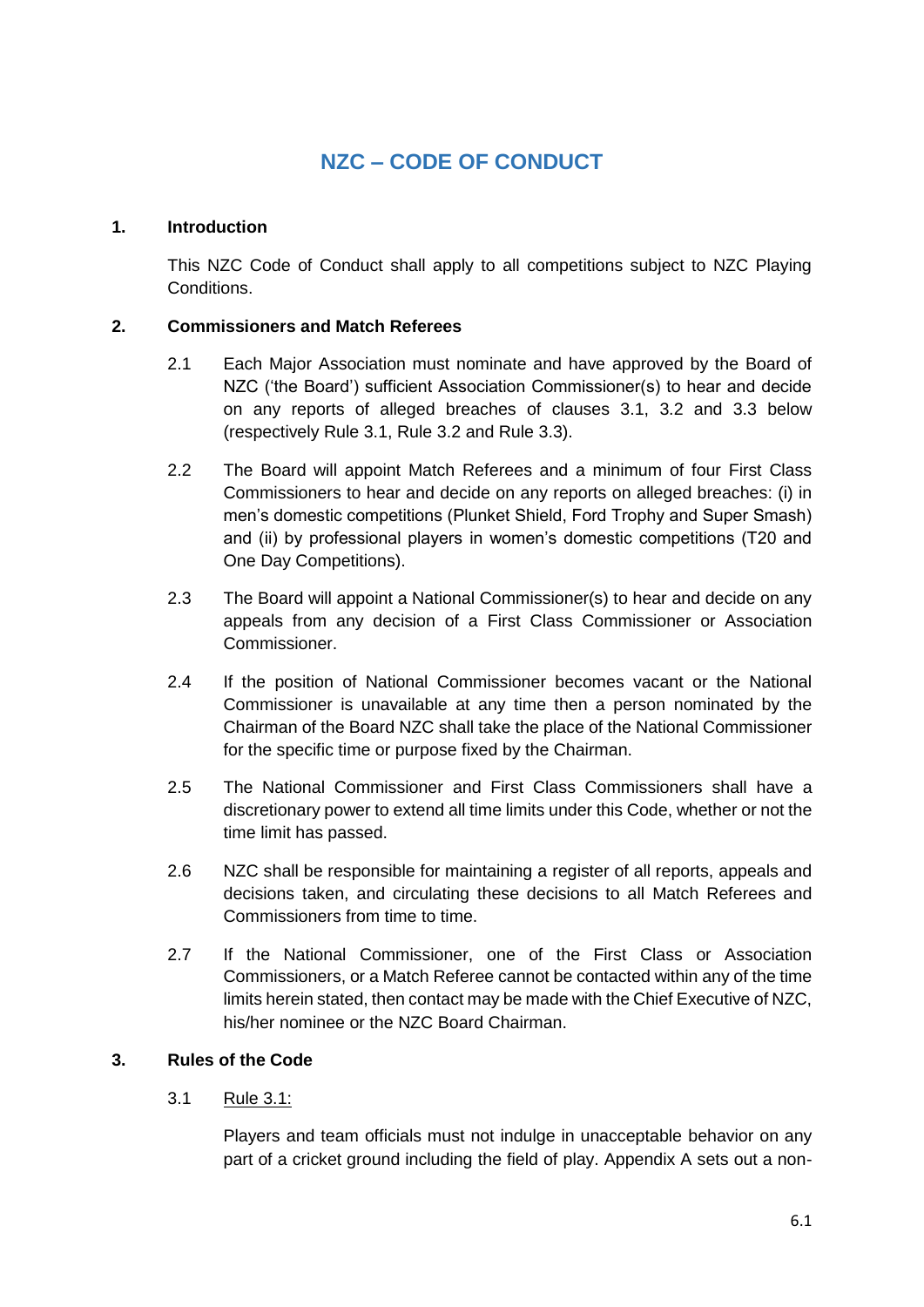## **NZC – CODE OF CONDUCT**

#### **1. Introduction**

This NZC Code of Conduct shall apply to all competitions subject to NZC Playing Conditions.

#### **2. Commissioners and Match Referees**

- 2.1 Each Major Association must nominate and have approved by the Board of NZC ('the Board') sufficient Association Commissioner(s) to hear and decide on any reports of alleged breaches of clauses 3.1, 3.2 and 3.3 below (respectively Rule 3.1, Rule 3.2 and Rule 3.3).
- 2.2 The Board will appoint Match Referees and a minimum of four First Class Commissioners to hear and decide on any reports on alleged breaches: (i) in men's domestic competitions (Plunket Shield, Ford Trophy and Super Smash) and (ii) by professional players in women's domestic competitions (T20 and One Day Competitions).
- 2.3 The Board will appoint a National Commissioner(s) to hear and decide on any appeals from any decision of a First Class Commissioner or Association Commissioner.
- 2.4 If the position of National Commissioner becomes vacant or the National Commissioner is unavailable at any time then a person nominated by the Chairman of the Board NZC shall take the place of the National Commissioner for the specific time or purpose fixed by the Chairman.
- 2.5 The National Commissioner and First Class Commissioners shall have a discretionary power to extend all time limits under this Code, whether or not the time limit has passed.
- 2.6 NZC shall be responsible for maintaining a register of all reports, appeals and decisions taken, and circulating these decisions to all Match Referees and Commissioners from time to time.
- 2.7 If the National Commissioner, one of the First Class or Association Commissioners, or a Match Referee cannot be contacted within any of the time limits herein stated, then contact may be made with the Chief Executive of NZC, his/her nominee or the NZC Board Chairman.

#### **3. Rules of the Code**

#### 3.1 Rule 3.1:

Players and team officials must not indulge in unacceptable behavior on any part of a cricket ground including the field of play. Appendix A sets out a non-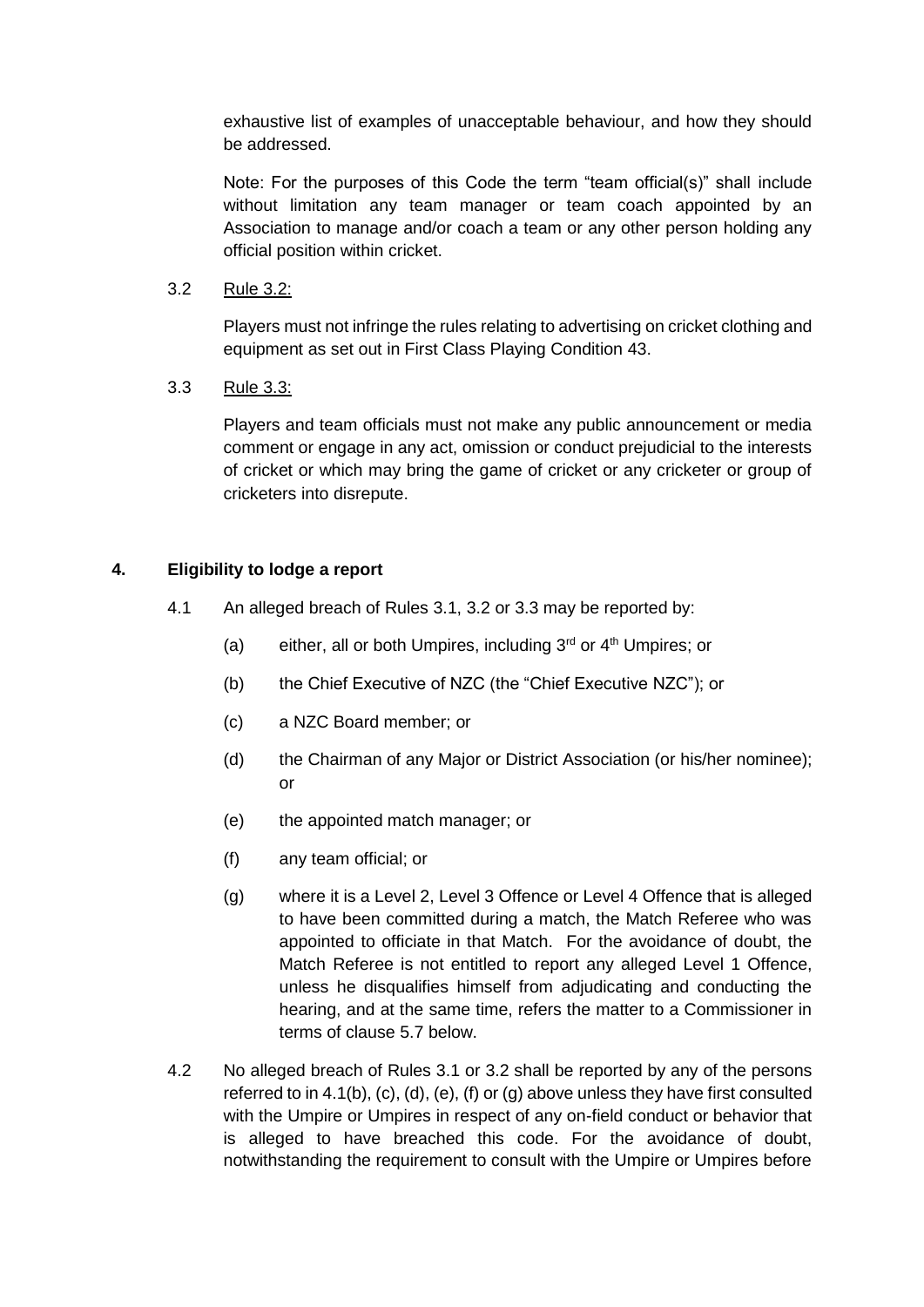exhaustive list of examples of unacceptable behaviour, and how they should be addressed.

Note: For the purposes of this Code the term "team official(s)" shall include without limitation any team manager or team coach appointed by an Association to manage and/or coach a team or any other person holding any official position within cricket.

3.2 Rule 3.2:

Players must not infringe the rules relating to advertising on cricket clothing and equipment as set out in First Class Playing Condition 43.

3.3 Rule 3.3:

Players and team officials must not make any public announcement or media comment or engage in any act, omission or conduct prejudicial to the interests of cricket or which may bring the game of cricket or any cricketer or group of cricketers into disrepute.

#### **4. Eligibility to lodge a report**

- 4.1 An alleged breach of Rules 3.1, 3.2 or 3.3 may be reported by:
	- (a) either, all or both Umpires, including  $3<sup>rd</sup>$  or  $4<sup>th</sup>$  Umpires; or
	- (b) the Chief Executive of NZC (the "Chief Executive NZC"); or
	- (c) a NZC Board member; or
	- (d) the Chairman of any Major or District Association (or his/her nominee); or
	- (e) the appointed match manager; or
	- (f) any team official; or
	- (g) where it is a Level 2, Level 3 Offence or Level 4 Offence that is alleged to have been committed during a match, the Match Referee who was appointed to officiate in that Match. For the avoidance of doubt, the Match Referee is not entitled to report any alleged Level 1 Offence, unless he disqualifies himself from adjudicating and conducting the hearing, and at the same time, refers the matter to a Commissioner in terms of clause 5.7 below.
- 4.2 No alleged breach of Rules 3.1 or 3.2 shall be reported by any of the persons referred to in 4.1(b),  $(c)$ ,  $(d)$ ,  $(e)$ ,  $(f)$  or  $(g)$  above unless they have first consulted with the Umpire or Umpires in respect of any on-field conduct or behavior that is alleged to have breached this code. For the avoidance of doubt, notwithstanding the requirement to consult with the Umpire or Umpires before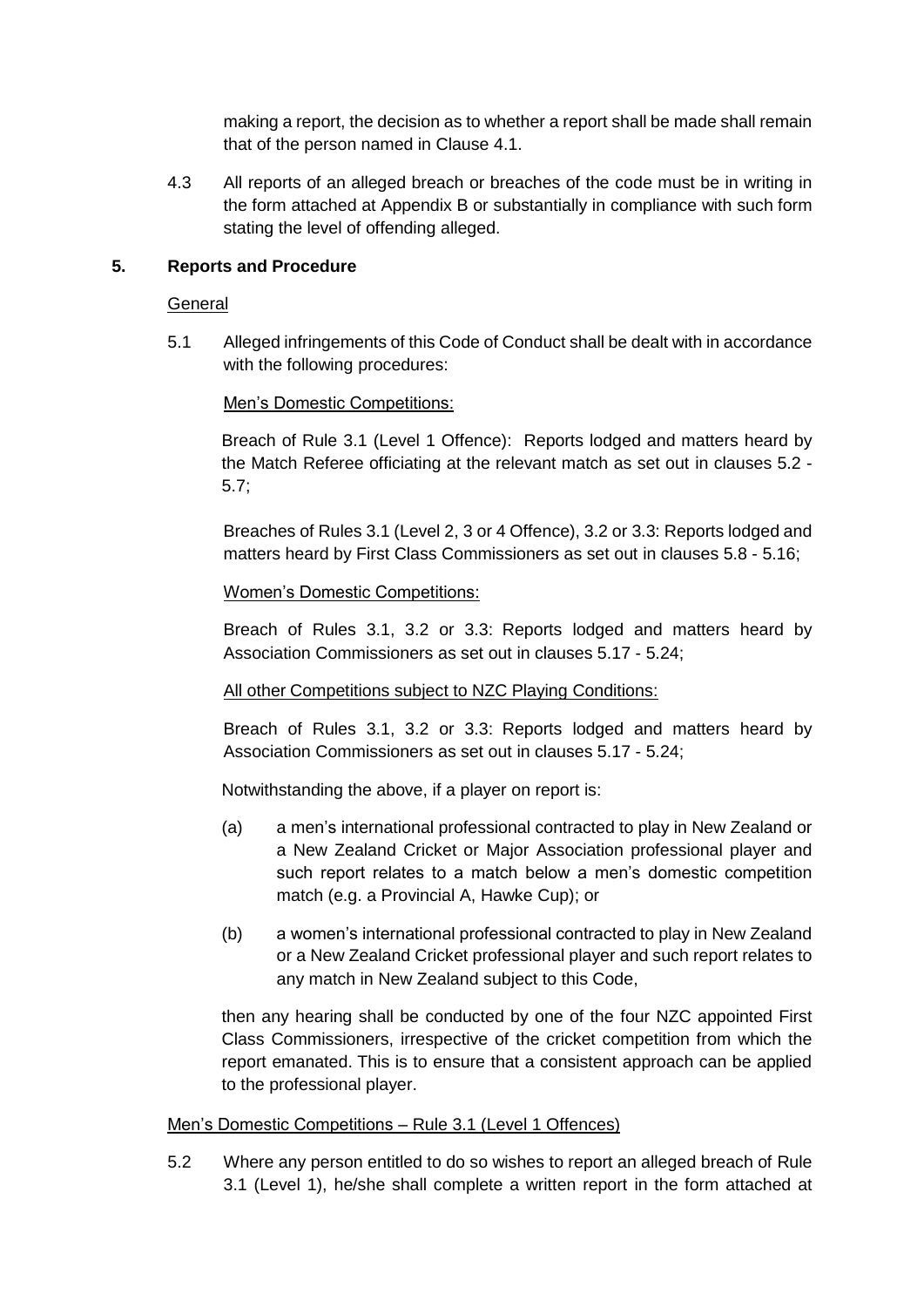making a report, the decision as to whether a report shall be made shall remain that of the person named in Clause 4.1.

4.3 All reports of an alleged breach or breaches of the code must be in writing in the form attached at Appendix B or substantially in compliance with such form stating the level of offending alleged.

#### **5. Reports and Procedure**

#### General

5.1 Alleged infringements of this Code of Conduct shall be dealt with in accordance with the following procedures:

#### Men's Domestic Competitions:

Breach of Rule 3.1 (Level 1 Offence): Reports lodged and matters heard by the Match Referee officiating at the relevant match as set out in clauses 5.2 - 5.7;

Breaches of Rules 3.1 (Level 2, 3 or 4 Offence), 3.2 or 3.3: Reports lodged and matters heard by First Class Commissioners as set out in clauses 5.8 - 5.16;

#### Women's Domestic Competitions:

Breach of Rules 3.1, 3.2 or 3.3: Reports lodged and matters heard by Association Commissioners as set out in clauses 5.17 - 5.24;

#### All other Competitions subject to NZC Playing Conditions:

Breach of Rules 3.1, 3.2 or 3.3: Reports lodged and matters heard by Association Commissioners as set out in clauses 5.17 - 5.24;

Notwithstanding the above, if a player on report is:

- (a) a men's international professional contracted to play in New Zealand or a New Zealand Cricket or Major Association professional player and such report relates to a match below a men's domestic competition match (e.g. a Provincial A, Hawke Cup); or
- (b) a women's international professional contracted to play in New Zealand or a New Zealand Cricket professional player and such report relates to any match in New Zealand subject to this Code,

then any hearing shall be conducted by one of the four NZC appointed First Class Commissioners, irrespective of the cricket competition from which the report emanated. This is to ensure that a consistent approach can be applied to the professional player.

#### Men's Domestic Competitions – Rule 3.1 (Level 1 Offences)

5.2 Where any person entitled to do so wishes to report an alleged breach of Rule 3.1 (Level 1), he/she shall complete a written report in the form attached at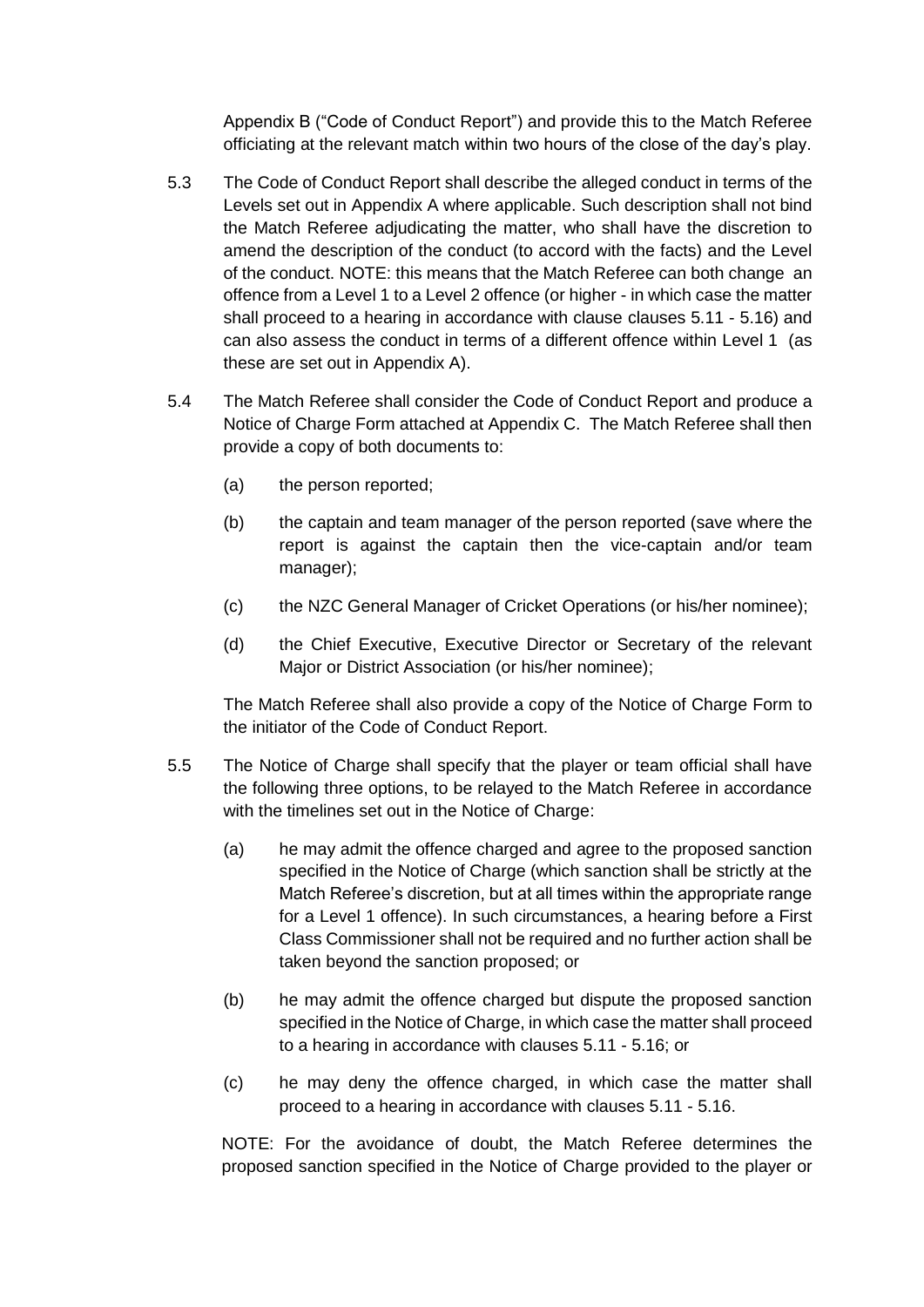Appendix B ("Code of Conduct Report") and provide this to the Match Referee officiating at the relevant match within two hours of the close of the day's play.

- 5.3 The Code of Conduct Report shall describe the alleged conduct in terms of the Levels set out in Appendix A where applicable. Such description shall not bind the Match Referee adjudicating the matter, who shall have the discretion to amend the description of the conduct (to accord with the facts) and the Level of the conduct. NOTE: this means that the Match Referee can both change an offence from a Level 1 to a Level 2 offence (or higher - in which case the matter shall proceed to a hearing in accordance with clause clauses 5.11 - 5.16) and can also assess the conduct in terms of a different offence within Level 1 (as these are set out in Appendix A).
- 5.4 The Match Referee shall consider the Code of Conduct Report and produce a Notice of Charge Form attached at Appendix C. The Match Referee shall then provide a copy of both documents to:
	- (a) the person reported;
	- (b) the captain and team manager of the person reported (save where the report is against the captain then the vice-captain and/or team manager);
	- (c) the NZC General Manager of Cricket Operations (or his/her nominee);
	- (d) the Chief Executive, Executive Director or Secretary of the relevant Major or District Association (or his/her nominee);

The Match Referee shall also provide a copy of the Notice of Charge Form to the initiator of the Code of Conduct Report.

- 5.5 The Notice of Charge shall specify that the player or team official shall have the following three options, to be relayed to the Match Referee in accordance with the timelines set out in the Notice of Charge:
	- (a) he may admit the offence charged and agree to the proposed sanction specified in the Notice of Charge (which sanction shall be strictly at the Match Referee's discretion, but at all times within the appropriate range for a Level 1 offence). In such circumstances, a hearing before a First Class Commissioner shall not be required and no further action shall be taken beyond the sanction proposed; or
	- (b) he may admit the offence charged but dispute the proposed sanction specified in the Notice of Charge, in which case the matter shall proceed to a hearing in accordance with clauses 5.11 - 5.16; or
	- (c) he may deny the offence charged, in which case the matter shall proceed to a hearing in accordance with clauses 5.11 - 5.16.

NOTE: For the avoidance of doubt, the Match Referee determines the proposed sanction specified in the Notice of Charge provided to the player or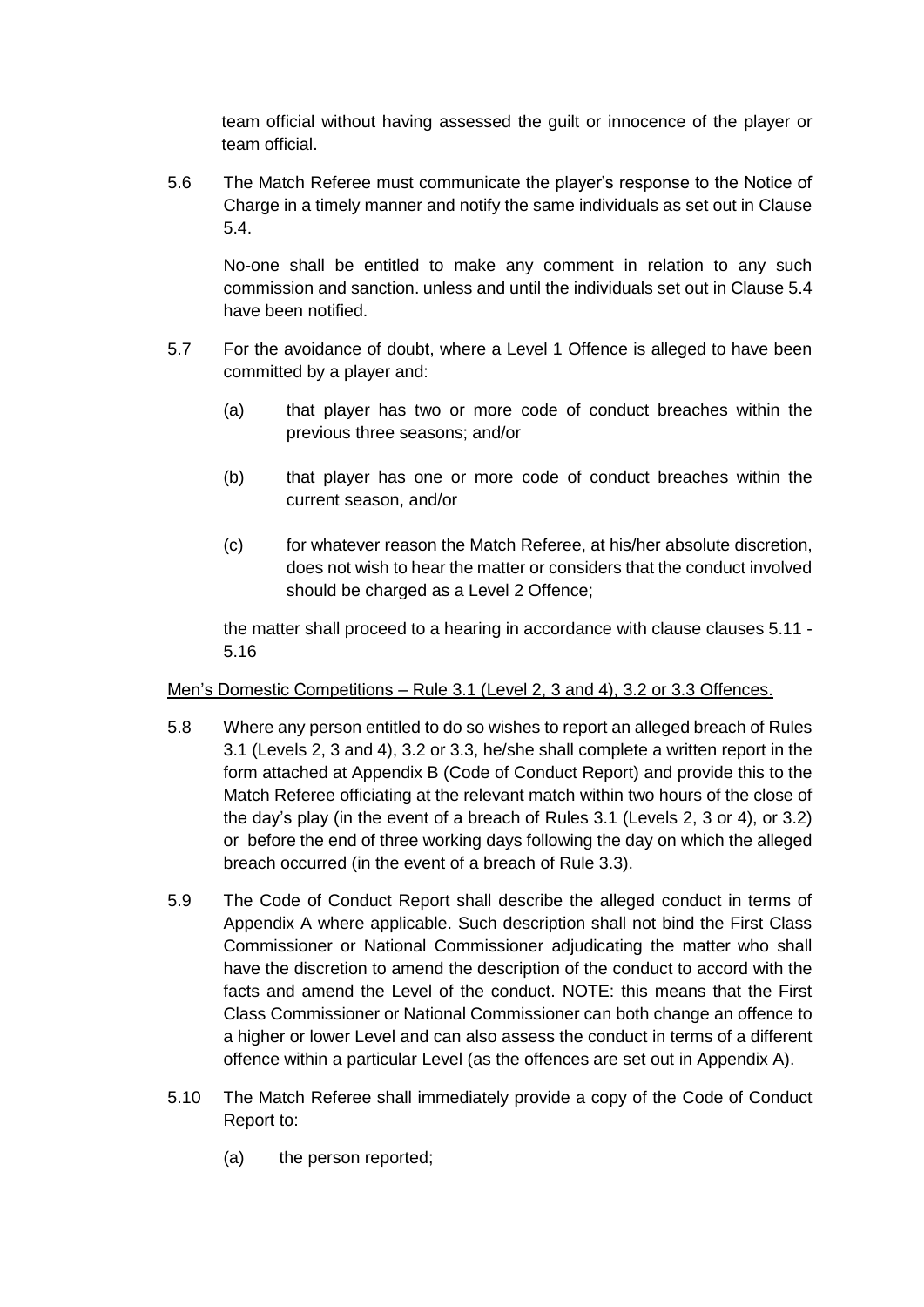team official without having assessed the guilt or innocence of the player or team official.

5.6 The Match Referee must communicate the player's response to the Notice of Charge in a timely manner and notify the same individuals as set out in Clause 5.4.

No-one shall be entitled to make any comment in relation to any such commission and sanction. unless and until the individuals set out in Clause 5.4 have been notified.

- 5.7 For the avoidance of doubt, where a Level 1 Offence is alleged to have been committed by a player and:
	- (a) that player has two or more code of conduct breaches within the previous three seasons; and/or
	- (b) that player has one or more code of conduct breaches within the current season, and/or
	- (c) for whatever reason the Match Referee, at his/her absolute discretion, does not wish to hear the matter or considers that the conduct involved should be charged as a Level 2 Offence;

the matter shall proceed to a hearing in accordance with clause clauses 5.11 - 5.16

#### Men's Domestic Competitions – Rule 3.1 (Level 2, 3 and 4), 3.2 or 3.3 Offences.

- 5.8 Where any person entitled to do so wishes to report an alleged breach of Rules 3.1 (Levels 2, 3 and 4), 3.2 or 3.3, he/she shall complete a written report in the form attached at Appendix B (Code of Conduct Report) and provide this to the Match Referee officiating at the relevant match within two hours of the close of the day's play (in the event of a breach of Rules 3.1 (Levels 2, 3 or 4), or 3.2) or before the end of three working days following the day on which the alleged breach occurred (in the event of a breach of Rule 3.3).
- 5.9 The Code of Conduct Report shall describe the alleged conduct in terms of Appendix A where applicable. Such description shall not bind the First Class Commissioner or National Commissioner adjudicating the matter who shall have the discretion to amend the description of the conduct to accord with the facts and amend the Level of the conduct. NOTE: this means that the First Class Commissioner or National Commissioner can both change an offence to a higher or lower Level and can also assess the conduct in terms of a different offence within a particular Level (as the offences are set out in Appendix A).
- 5.10 The Match Referee shall immediately provide a copy of the Code of Conduct Report to:
	- (a) the person reported;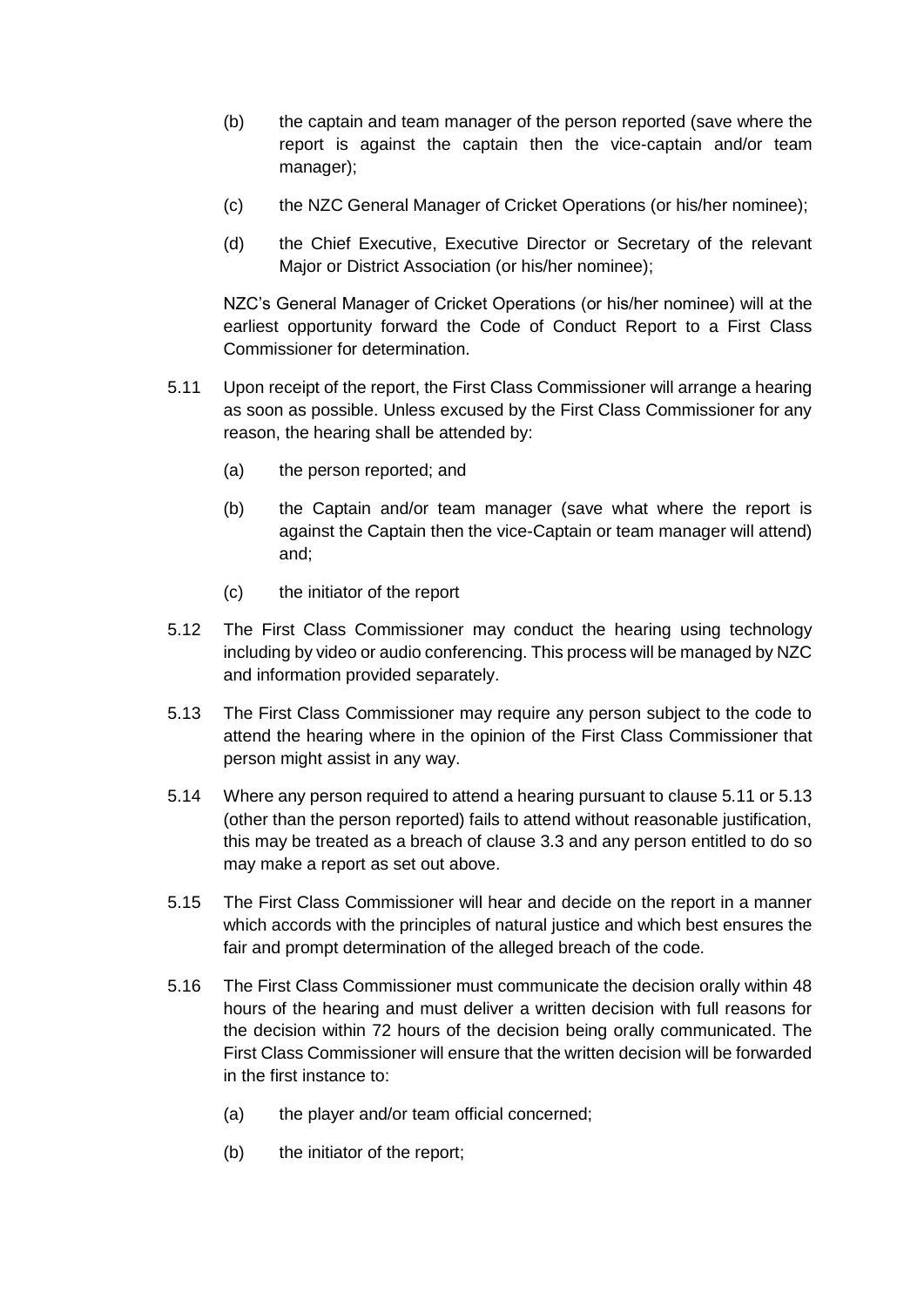- (b) the captain and team manager of the person reported (save where the report is against the captain then the vice-captain and/or team manager);
- (c) the NZC General Manager of Cricket Operations (or his/her nominee);
- (d) the Chief Executive, Executive Director or Secretary of the relevant Major or District Association (or his/her nominee);

NZC's General Manager of Cricket Operations (or his/her nominee) will at the earliest opportunity forward the Code of Conduct Report to a First Class Commissioner for determination.

- 5.11 Upon receipt of the report, the First Class Commissioner will arrange a hearing as soon as possible. Unless excused by the First Class Commissioner for any reason, the hearing shall be attended by:
	- (a) the person reported; and
	- (b) the Captain and/or team manager (save what where the report is against the Captain then the vice-Captain or team manager will attend) and;
	- (c) the initiator of the report
- 5.12 The First Class Commissioner may conduct the hearing using technology including by video or audio conferencing. This process will be managed by NZC and information provided separately.
- 5.13 The First Class Commissioner may require any person subject to the code to attend the hearing where in the opinion of the First Class Commissioner that person might assist in any way.
- 5.14 Where any person required to attend a hearing pursuant to clause 5.11 or 5.13 (other than the person reported) fails to attend without reasonable justification, this may be treated as a breach of clause 3.3 and any person entitled to do so may make a report as set out above.
- 5.15 The First Class Commissioner will hear and decide on the report in a manner which accords with the principles of natural justice and which best ensures the fair and prompt determination of the alleged breach of the code.
- 5.16 The First Class Commissioner must communicate the decision orally within 48 hours of the hearing and must deliver a written decision with full reasons for the decision within 72 hours of the decision being orally communicated. The First Class Commissioner will ensure that the written decision will be forwarded in the first instance to:
	- (a) the player and/or team official concerned;
	- (b) the initiator of the report;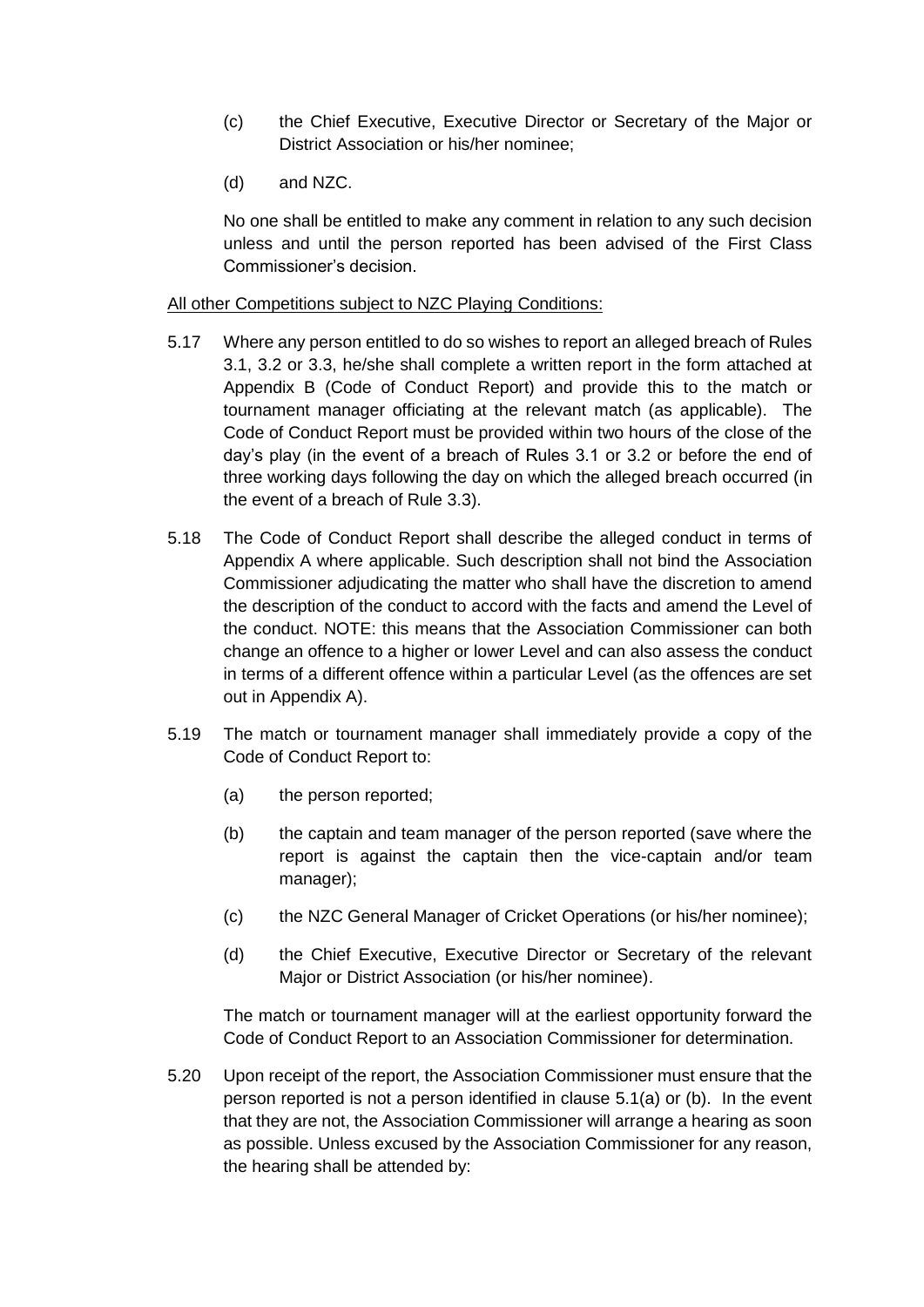- (c) the Chief Executive, Executive Director or Secretary of the Major or District Association or his/her nominee;
- (d) and NZC.

No one shall be entitled to make any comment in relation to any such decision unless and until the person reported has been advised of the First Class Commissioner's decision.

#### All other Competitions subject to NZC Playing Conditions:

- 5.17 Where any person entitled to do so wishes to report an alleged breach of Rules 3.1, 3.2 or 3.3, he/she shall complete a written report in the form attached at Appendix B (Code of Conduct Report) and provide this to the match or tournament manager officiating at the relevant match (as applicable). The Code of Conduct Report must be provided within two hours of the close of the day's play (in the event of a breach of Rules 3.1 or 3.2 or before the end of three working days following the day on which the alleged breach occurred (in the event of a breach of Rule 3.3).
- 5.18 The Code of Conduct Report shall describe the alleged conduct in terms of Appendix A where applicable. Such description shall not bind the Association Commissioner adjudicating the matter who shall have the discretion to amend the description of the conduct to accord with the facts and amend the Level of the conduct. NOTE: this means that the Association Commissioner can both change an offence to a higher or lower Level and can also assess the conduct in terms of a different offence within a particular Level (as the offences are set out in Appendix A).
- 5.19 The match or tournament manager shall immediately provide a copy of the Code of Conduct Report to:
	- (a) the person reported;
	- (b) the captain and team manager of the person reported (save where the report is against the captain then the vice-captain and/or team manager);
	- (c) the NZC General Manager of Cricket Operations (or his/her nominee);
	- (d) the Chief Executive, Executive Director or Secretary of the relevant Major or District Association (or his/her nominee).

The match or tournament manager will at the earliest opportunity forward the Code of Conduct Report to an Association Commissioner for determination.

5.20 Upon receipt of the report, the Association Commissioner must ensure that the person reported is not a person identified in clause 5.1(a) or (b). In the event that they are not, the Association Commissioner will arrange a hearing as soon as possible. Unless excused by the Association Commissioner for any reason, the hearing shall be attended by: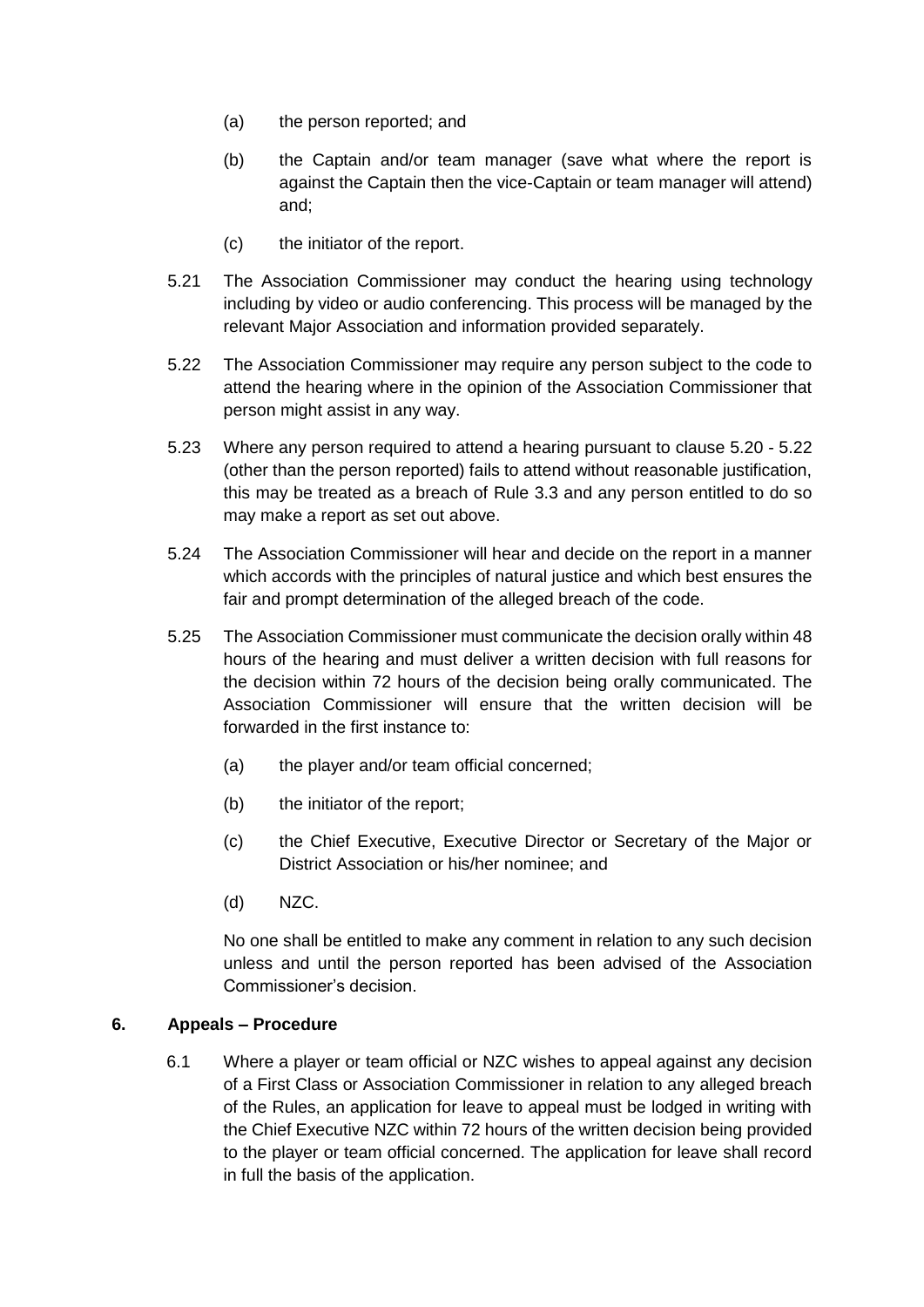- (a) the person reported; and
- (b) the Captain and/or team manager (save what where the report is against the Captain then the vice-Captain or team manager will attend) and;
- (c) the initiator of the report.
- 5.21 The Association Commissioner may conduct the hearing using technology including by video or audio conferencing. This process will be managed by the relevant Major Association and information provided separately.
- 5.22 The Association Commissioner may require any person subject to the code to attend the hearing where in the opinion of the Association Commissioner that person might assist in any way.
- 5.23 Where any person required to attend a hearing pursuant to clause 5.20 5.22 (other than the person reported) fails to attend without reasonable justification, this may be treated as a breach of Rule 3.3 and any person entitled to do so may make a report as set out above.
- 5.24 The Association Commissioner will hear and decide on the report in a manner which accords with the principles of natural justice and which best ensures the fair and prompt determination of the alleged breach of the code.
- 5.25 The Association Commissioner must communicate the decision orally within 48 hours of the hearing and must deliver a written decision with full reasons for the decision within 72 hours of the decision being orally communicated. The Association Commissioner will ensure that the written decision will be forwarded in the first instance to:
	- (a) the player and/or team official concerned;
	- (b) the initiator of the report;
	- (c) the Chief Executive, Executive Director or Secretary of the Major or District Association or his/her nominee; and
	- (d) NZC.

No one shall be entitled to make any comment in relation to any such decision unless and until the person reported has been advised of the Association Commissioner's decision.

#### **6. Appeals – Procedure**

6.1 Where a player or team official or NZC wishes to appeal against any decision of a First Class or Association Commissioner in relation to any alleged breach of the Rules, an application for leave to appeal must be lodged in writing with the Chief Executive NZC within 72 hours of the written decision being provided to the player or team official concerned. The application for leave shall record in full the basis of the application.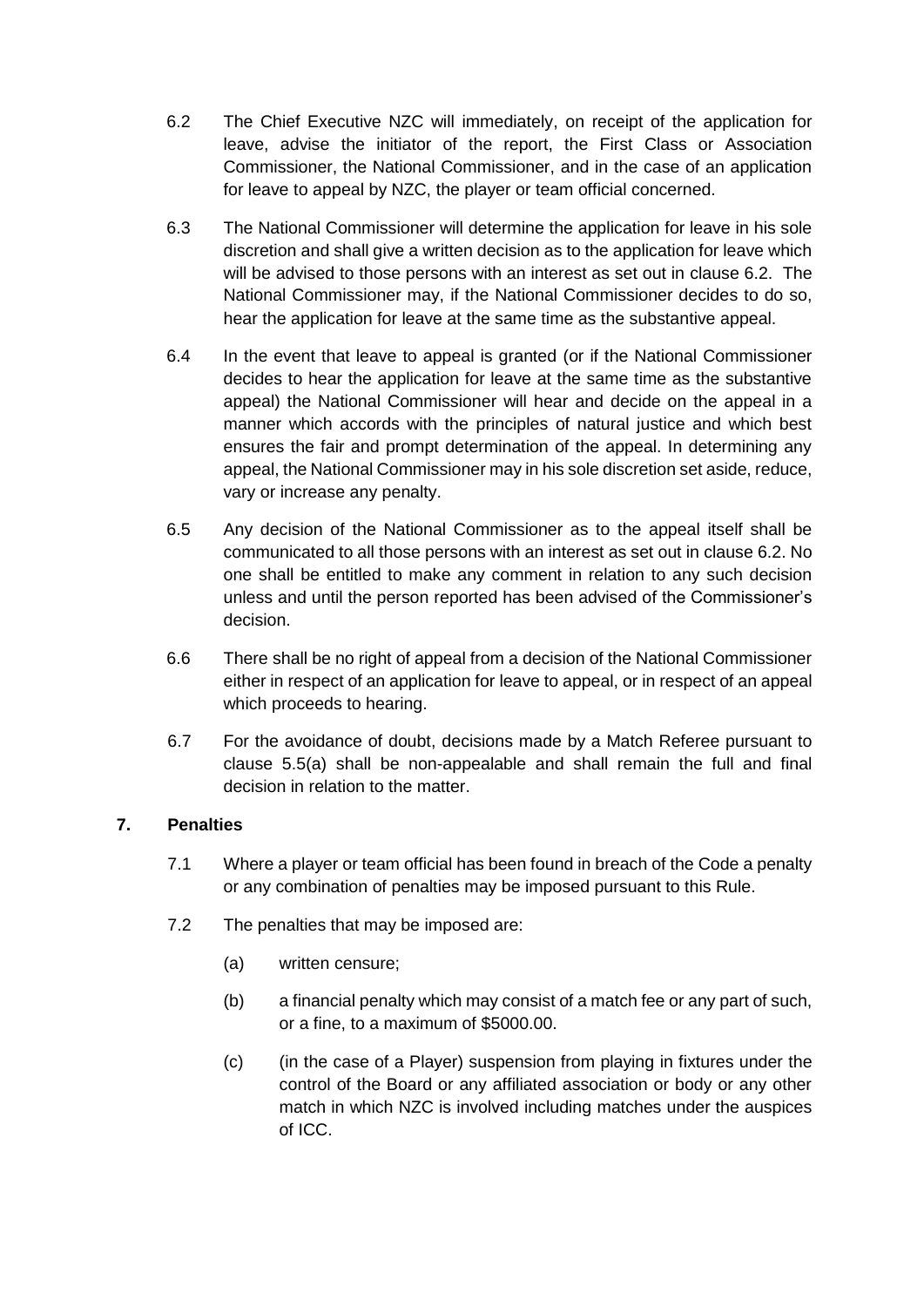- 6.2 The Chief Executive NZC will immediately, on receipt of the application for leave, advise the initiator of the report, the First Class or Association Commissioner, the National Commissioner, and in the case of an application for leave to appeal by NZC, the player or team official concerned.
- 6.3 The National Commissioner will determine the application for leave in his sole discretion and shall give a written decision as to the application for leave which will be advised to those persons with an interest as set out in clause 6.2. The National Commissioner may, if the National Commissioner decides to do so, hear the application for leave at the same time as the substantive appeal.
- 6.4 In the event that leave to appeal is granted (or if the National Commissioner decides to hear the application for leave at the same time as the substantive appeal) the National Commissioner will hear and decide on the appeal in a manner which accords with the principles of natural justice and which best ensures the fair and prompt determination of the appeal. In determining any appeal, the National Commissioner may in his sole discretion set aside, reduce, vary or increase any penalty.
- 6.5 Any decision of the National Commissioner as to the appeal itself shall be communicated to all those persons with an interest as set out in clause 6.2. No one shall be entitled to make any comment in relation to any such decision unless and until the person reported has been advised of the Commissioner's decision.
- 6.6 There shall be no right of appeal from a decision of the National Commissioner either in respect of an application for leave to appeal, or in respect of an appeal which proceeds to hearing.
- 6.7 For the avoidance of doubt, decisions made by a Match Referee pursuant to clause 5.5(a) shall be non-appealable and shall remain the full and final decision in relation to the matter.

#### **7. Penalties**

- 7.1 Where a player or team official has been found in breach of the Code a penalty or any combination of penalties may be imposed pursuant to this Rule.
- 7.2 The penalties that may be imposed are:
	- (a) written censure;
	- (b) a financial penalty which may consist of a match fee or any part of such, or a fine, to a maximum of \$5000.00.
	- (c) (in the case of a Player) suspension from playing in fixtures under the control of the Board or any affiliated association or body or any other match in which NZC is involved including matches under the auspices of ICC.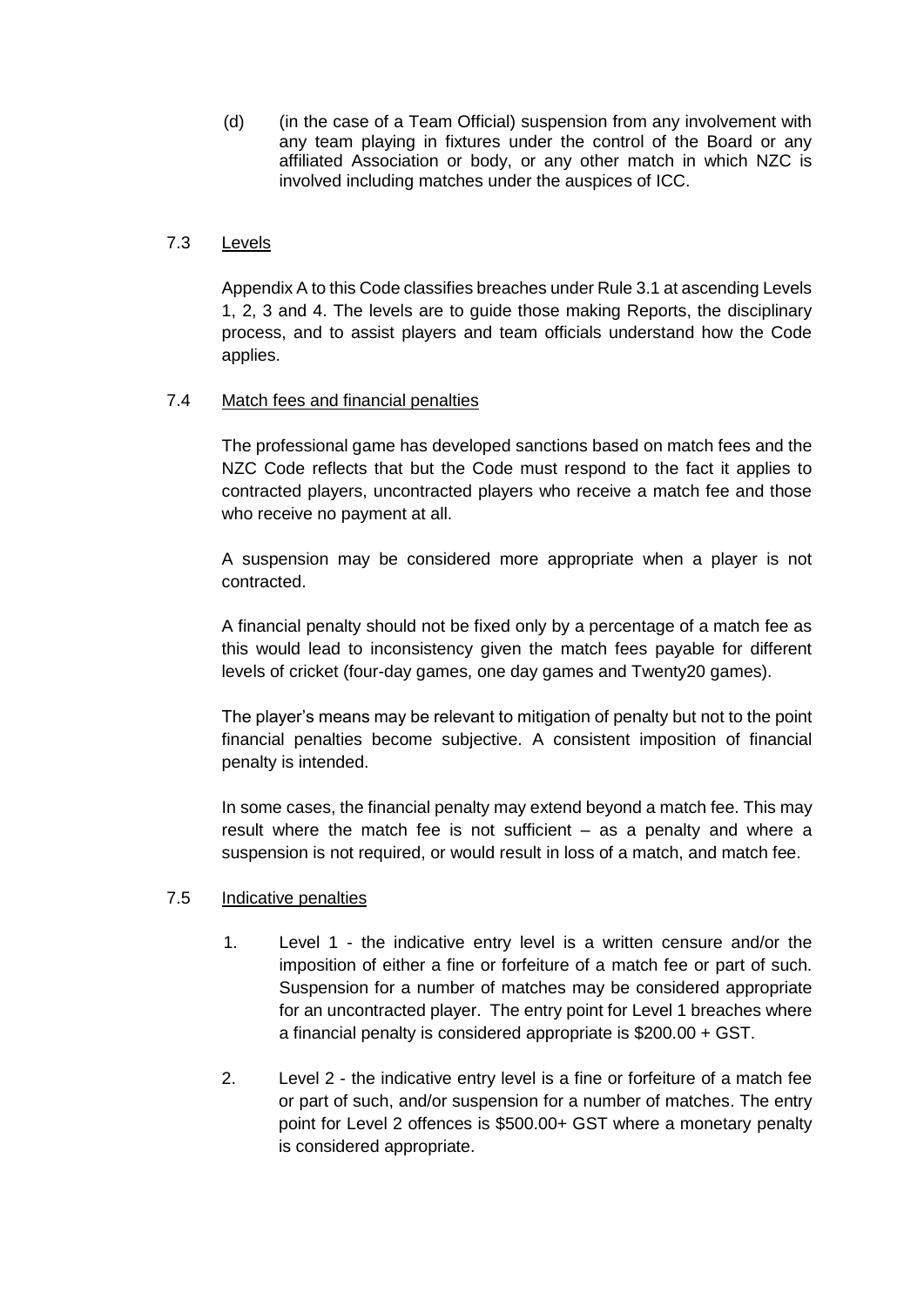(d) (in the case of a Team Official) suspension from any involvement with any team playing in fixtures under the control of the Board or any affiliated Association or body, or any other match in which NZC is involved including matches under the auspices of ICC.

#### 7.3 Levels

Appendix A to this Code classifies breaches under Rule 3.1 at ascending Levels 1, 2, 3 and 4. The levels are to guide those making Reports, the disciplinary process, and to assist players and team officials understand how the Code applies.

#### 7.4 Match fees and financial penalties

The professional game has developed sanctions based on match fees and the NZC Code reflects that but the Code must respond to the fact it applies to contracted players, uncontracted players who receive a match fee and those who receive no payment at all.

A suspension may be considered more appropriate when a player is not contracted.

A financial penalty should not be fixed only by a percentage of a match fee as this would lead to inconsistency given the match fees payable for different levels of cricket (four-day games, one day games and Twenty20 games).

The player's means may be relevant to mitigation of penalty but not to the point financial penalties become subjective. A consistent imposition of financial penalty is intended.

In some cases, the financial penalty may extend beyond a match fee. This may result where the match fee is not sufficient – as a penalty and where a suspension is not required, or would result in loss of a match, and match fee.

#### 7.5 Indicative penalties

- 1. Level 1 the indicative entry level is a written censure and/or the imposition of either a fine or forfeiture of a match fee or part of such. Suspension for a number of matches may be considered appropriate for an uncontracted player. The entry point for Level 1 breaches where a financial penalty is considered appropriate is \$200.00 + GST.
- 2. Level 2 the indicative entry level is a fine or forfeiture of a match fee or part of such, and/or suspension for a number of matches. The entry point for Level 2 offences is \$500.00+ GST where a monetary penalty is considered appropriate.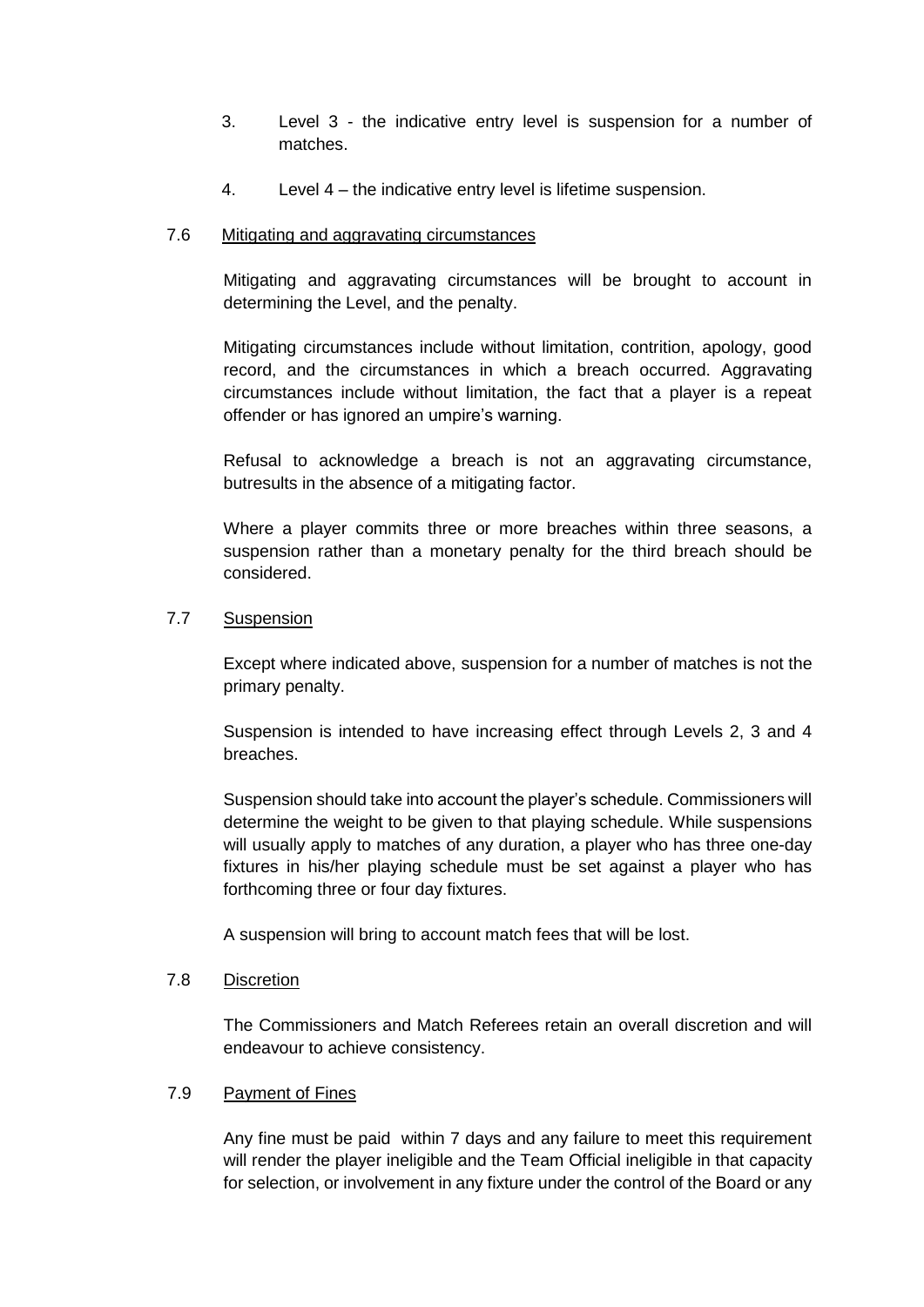- 3. Level 3 the indicative entry level is suspension for a number of matches.
- 4. Level 4 the indicative entry level is lifetime suspension.

#### 7.6 Mitigating and aggravating circumstances

Mitigating and aggravating circumstances will be brought to account in determining the Level, and the penalty.

Mitigating circumstances include without limitation, contrition, apology, good record, and the circumstances in which a breach occurred. Aggravating circumstances include without limitation, the fact that a player is a repeat offender or has ignored an umpire's warning.

Refusal to acknowledge a breach is not an aggravating circumstance, butresults in the absence of a mitigating factor.

Where a player commits three or more breaches within three seasons, a suspension rather than a monetary penalty for the third breach should be considered.

#### 7.7 Suspension

Except where indicated above, suspension for a number of matches is not the primary penalty.

Suspension is intended to have increasing effect through Levels 2, 3 and 4 breaches.

Suspension should take into account the player's schedule. Commissioners will determine the weight to be given to that playing schedule. While suspensions will usually apply to matches of any duration, a player who has three one-day fixtures in his/her playing schedule must be set against a player who has forthcoming three or four day fixtures.

A suspension will bring to account match fees that will be lost.

#### 7.8 Discretion

The Commissioners and Match Referees retain an overall discretion and will endeavour to achieve consistency.

#### 7.9 Payment of Fines

Any fine must be paid within 7 days and any failure to meet this requirement will render the player ineligible and the Team Official ineligible in that capacity for selection, or involvement in any fixture under the control of the Board or any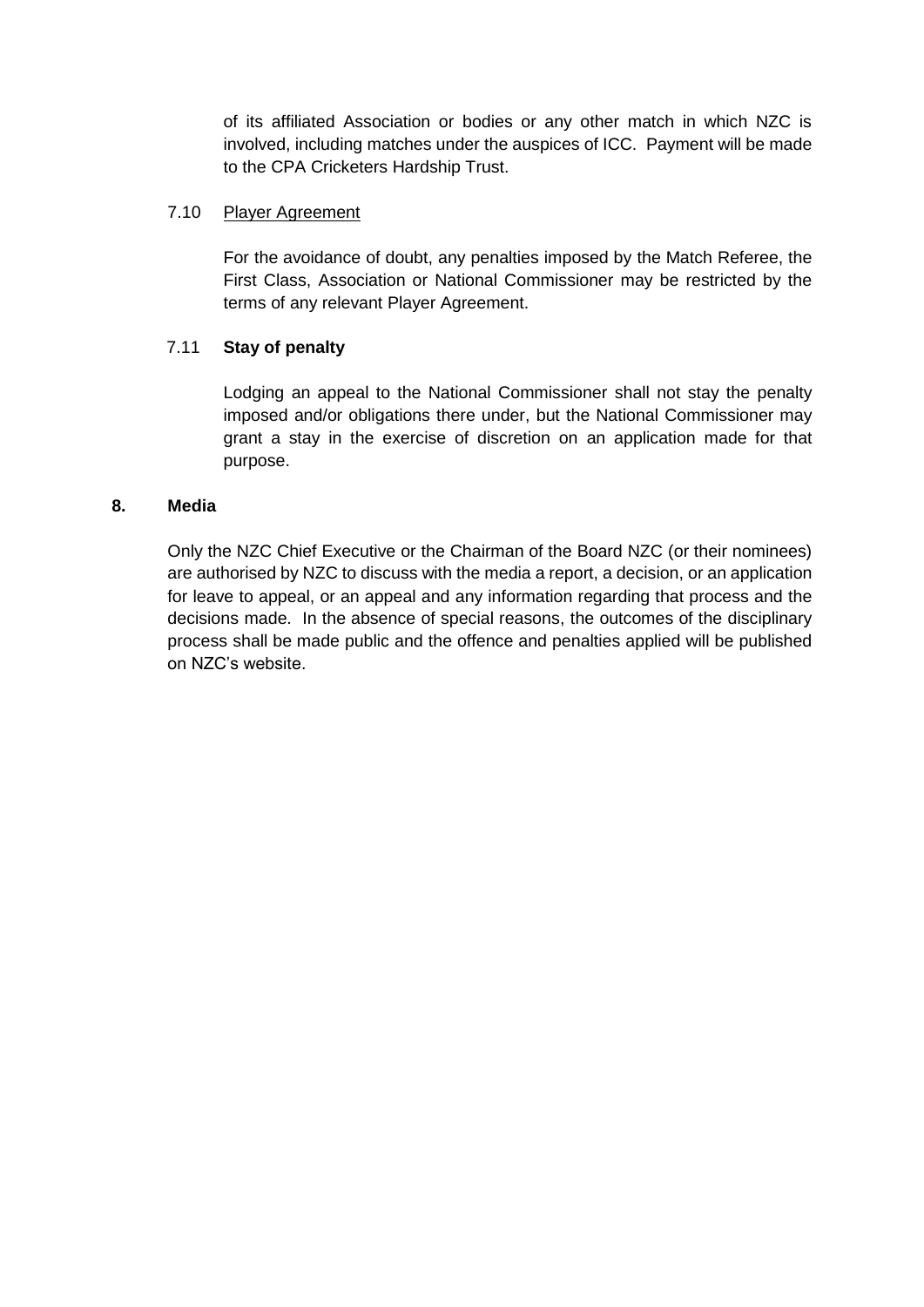of its affiliated Association or bodies or any other match in which NZC is involved, including matches under the auspices of ICC. Payment will be made to the CPA Cricketers Hardship Trust.

#### 7.10 Player Agreement

For the avoidance of doubt, any penalties imposed by the Match Referee, the First Class, Association or National Commissioner may be restricted by the terms of any relevant Player Agreement.

#### 7.11 **Stay of penalty**

Lodging an appeal to the National Commissioner shall not stay the penalty imposed and/or obligations there under, but the National Commissioner may grant a stay in the exercise of discretion on an application made for that purpose.

#### **8. Media**

Only the NZC Chief Executive or the Chairman of the Board NZC (or their nominees) are authorised by NZC to discuss with the media a report, a decision, or an application for leave to appeal, or an appeal and any information regarding that process and the decisions made. In the absence of special reasons, the outcomes of the disciplinary process shall be made public and the offence and penalties applied will be published on NZC's website.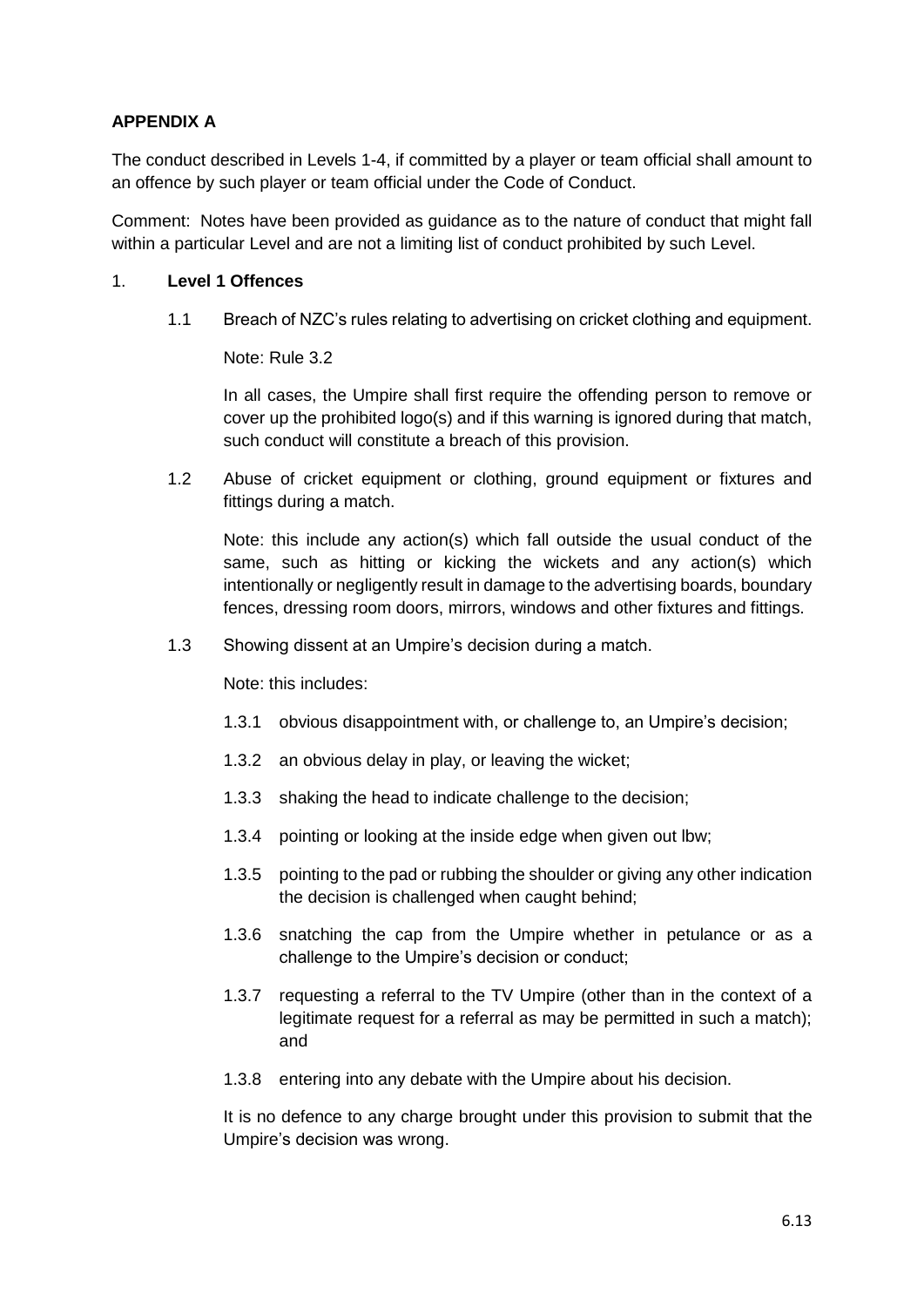#### **APPENDIX A**

The conduct described in Levels 1-4, if committed by a player or team official shall amount to an offence by such player or team official under the Code of Conduct.

Comment: Notes have been provided as guidance as to the nature of conduct that might fall within a particular Level and are not a limiting list of conduct prohibited by such Level.

#### 1. **Level 1 Offences**

1.1 Breach of NZC's rules relating to advertising on cricket clothing and equipment.

Note: Rule 3.2

In all cases, the Umpire shall first require the offending person to remove or cover up the prohibited logo(s) and if this warning is ignored during that match, such conduct will constitute a breach of this provision.

1.2 Abuse of cricket equipment or clothing, ground equipment or fixtures and fittings during a match.

Note: this include any action(s) which fall outside the usual conduct of the same, such as hitting or kicking the wickets and any action(s) which intentionally or negligently result in damage to the advertising boards, boundary fences, dressing room doors, mirrors, windows and other fixtures and fittings.

1.3 Showing dissent at an Umpire's decision during a match.

Note: this includes:

- 1.3.1 obvious disappointment with, or challenge to, an Umpire's decision;
- 1.3.2 an obvious delay in play, or leaving the wicket;
- 1.3.3 shaking the head to indicate challenge to the decision;
- 1.3.4 pointing or looking at the inside edge when given out lbw;
- 1.3.5 pointing to the pad or rubbing the shoulder or giving any other indication the decision is challenged when caught behind;
- 1.3.6 snatching the cap from the Umpire whether in petulance or as a challenge to the Umpire's decision or conduct;
- 1.3.7 requesting a referral to the TV Umpire (other than in the context of a legitimate request for a referral as may be permitted in such a match); and
- 1.3.8 entering into any debate with the Umpire about his decision.

It is no defence to any charge brought under this provision to submit that the Umpire's decision was wrong.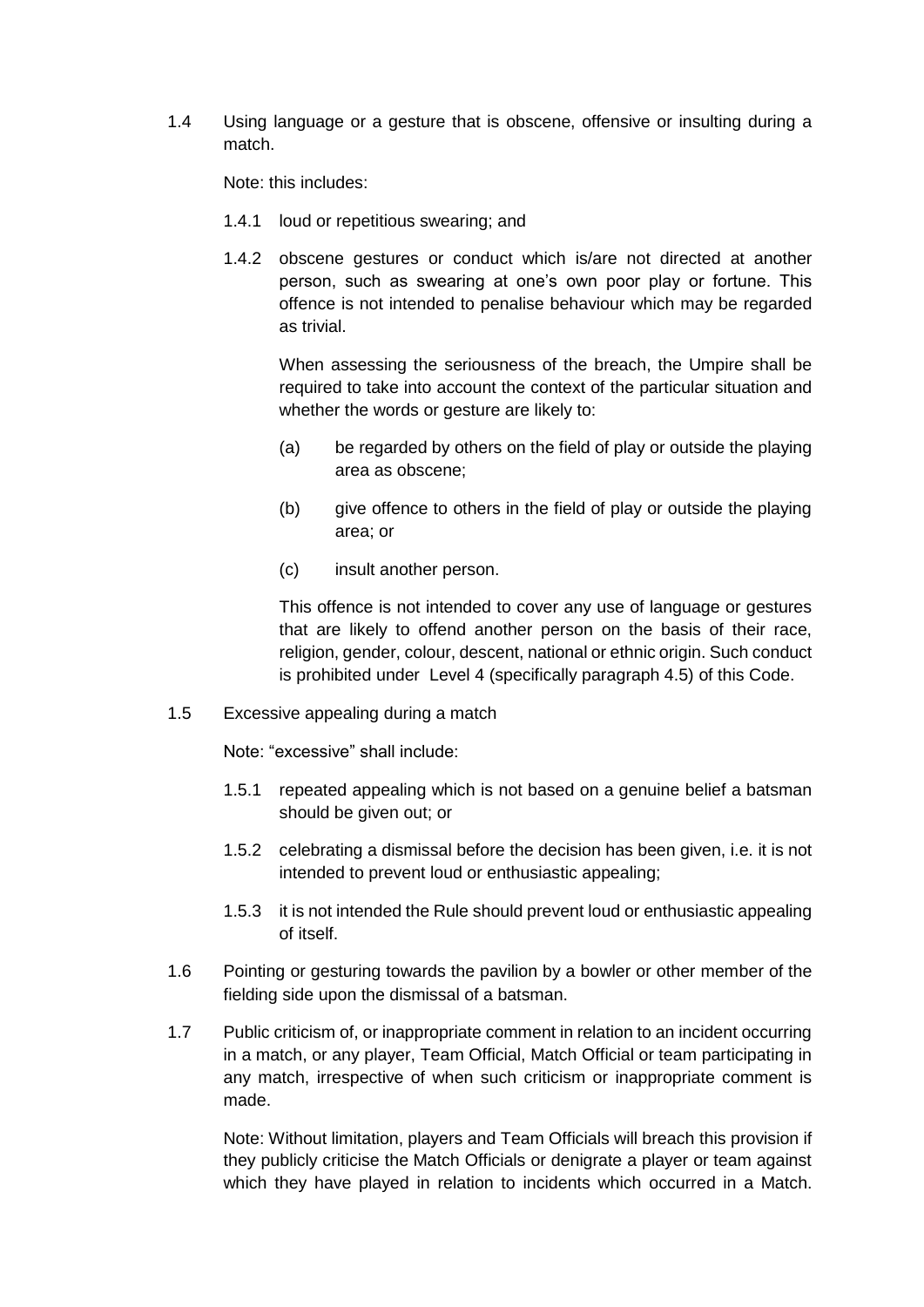1.4 Using language or a gesture that is obscene, offensive or insulting during a match.

Note: this includes:

- 1.4.1 loud or repetitious swearing; and
- 1.4.2 obscene gestures or conduct which is/are not directed at another person, such as swearing at one's own poor play or fortune. This offence is not intended to penalise behaviour which may be regarded as trivial.

When assessing the seriousness of the breach, the Umpire shall be required to take into account the context of the particular situation and whether the words or gesture are likely to:

- (a) be regarded by others on the field of play or outside the playing area as obscene;
- (b) give offence to others in the field of play or outside the playing area; or
- (c) insult another person.

This offence is not intended to cover any use of language or gestures that are likely to offend another person on the basis of their race, religion, gender, colour, descent, national or ethnic origin. Such conduct is prohibited under Level 4 (specifically paragraph 4.5) of this Code.

1.5 Excessive appealing during a match

Note: "excessive" shall include:

- 1.5.1 repeated appealing which is not based on a genuine belief a batsman should be given out; or
- 1.5.2 celebrating a dismissal before the decision has been given, i.e. it is not intended to prevent loud or enthusiastic appealing;
- 1.5.3 it is not intended the Rule should prevent loud or enthusiastic appealing of itself.
- 1.6 Pointing or gesturing towards the pavilion by a bowler or other member of the fielding side upon the dismissal of a batsman.
- 1.7 Public criticism of, or inappropriate comment in relation to an incident occurring in a match, or any player, Team Official, Match Official or team participating in any match, irrespective of when such criticism or inappropriate comment is made.

Note: Without limitation, players and Team Officials will breach this provision if they publicly criticise the Match Officials or denigrate a player or team against which they have played in relation to incidents which occurred in a Match.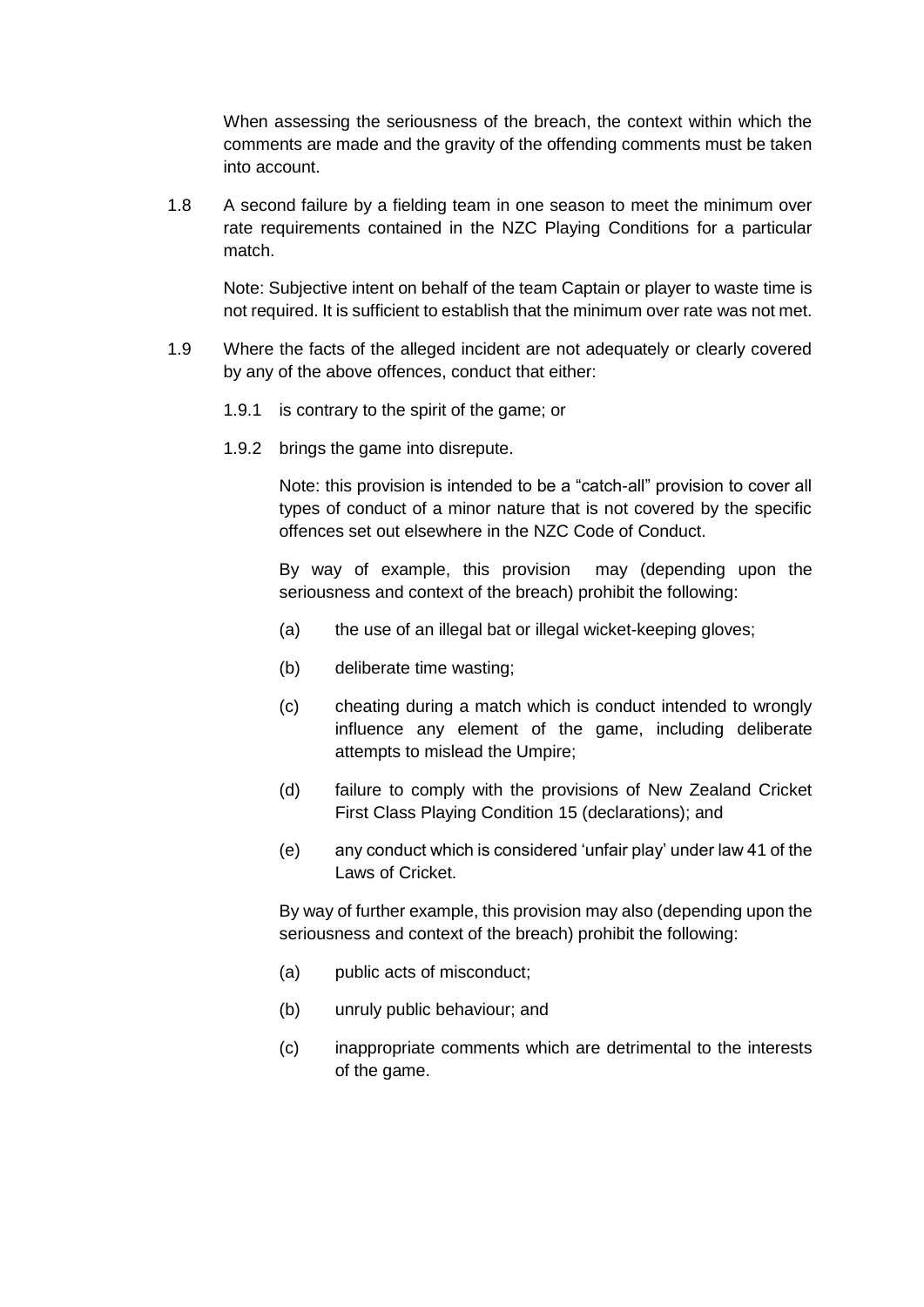When assessing the seriousness of the breach, the context within which the comments are made and the gravity of the offending comments must be taken into account.

1.8 A second failure by a fielding team in one season to meet the minimum over rate requirements contained in the NZC Playing Conditions for a particular match.

Note: Subjective intent on behalf of the team Captain or player to waste time is not required. It is sufficient to establish that the minimum over rate was not met.

- 1.9 Where the facts of the alleged incident are not adequately or clearly covered by any of the above offences, conduct that either:
	- 1.9.1 is contrary to the spirit of the game; or
	- 1.9.2 brings the game into disrepute.

Note: this provision is intended to be a "catch-all" provision to cover all types of conduct of a minor nature that is not covered by the specific offences set out elsewhere in the NZC Code of Conduct.

By way of example, this provision may (depending upon the seriousness and context of the breach) prohibit the following:

- (a) the use of an illegal bat or illegal wicket-keeping gloves;
- (b) deliberate time wasting;
- (c) cheating during a match which is conduct intended to wrongly influence any element of the game, including deliberate attempts to mislead the Umpire;
- (d) failure to comply with the provisions of New Zealand Cricket First Class Playing Condition 15 (declarations); and
- (e) any conduct which is considered 'unfair play' under law 41 of the Laws of Cricket.

By way of further example, this provision may also (depending upon the seriousness and context of the breach) prohibit the following:

- (a) public acts of misconduct;
- (b) unruly public behaviour; and
- (c) inappropriate comments which are detrimental to the interests of the game.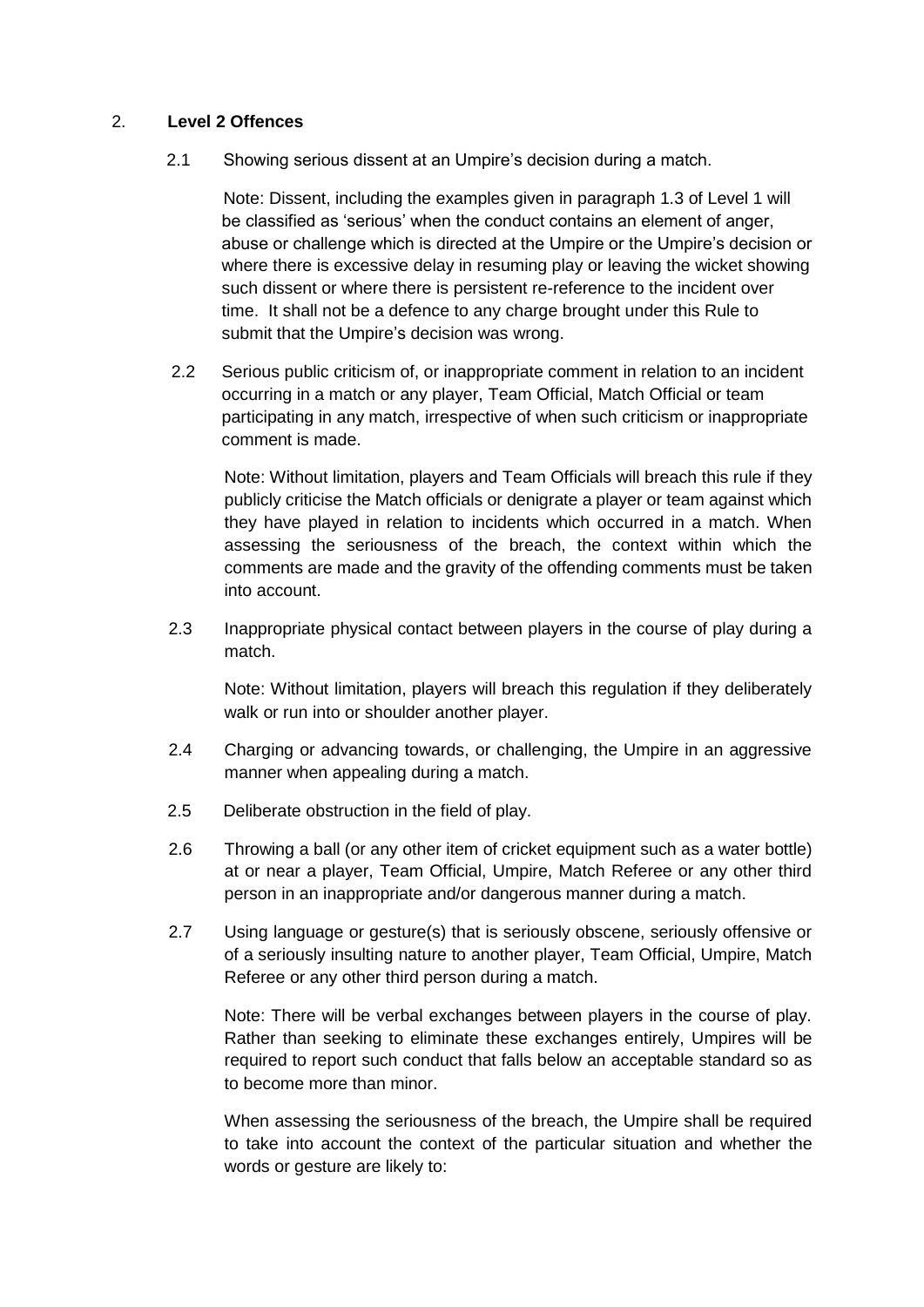#### 2. **Level 2 Offences**

2.1 Showing serious dissent at an Umpire's decision during a match.

Note: Dissent, including the examples given in paragraph 1.3 of Level 1 will be classified as 'serious' when the conduct contains an element of anger, abuse or challenge which is directed at the Umpire or the Umpire's decision or where there is excessive delay in resuming play or leaving the wicket showing such dissent or where there is persistent re-reference to the incident over time. It shall not be a defence to any charge brought under this Rule to submit that the Umpire's decision was wrong.

2.2 Serious public criticism of, or inappropriate comment in relation to an incident occurring in a match or any player, Team Official, Match Official or team participating in any match, irrespective of when such criticism or inappropriate comment is made.

Note: Without limitation, players and Team Officials will breach this rule if they publicly criticise the Match officials or denigrate a player or team against which they have played in relation to incidents which occurred in a match. When assessing the seriousness of the breach, the context within which the comments are made and the gravity of the offending comments must be taken into account.

2.3 Inappropriate physical contact between players in the course of play during a match.

Note: Without limitation, players will breach this regulation if they deliberately walk or run into or shoulder another player.

- 2.4 Charging or advancing towards, or challenging, the Umpire in an aggressive manner when appealing during a match.
- 2.5 Deliberate obstruction in the field of play.
- 2.6 Throwing a ball (or any other item of cricket equipment such as a water bottle) at or near a player, Team Official, Umpire, Match Referee or any other third person in an inappropriate and/or dangerous manner during a match.
- 2.7 Using language or gesture(s) that is seriously obscene, seriously offensive or of a seriously insulting nature to another player, Team Official, Umpire, Match Referee or any other third person during a match.

Note: There will be verbal exchanges between players in the course of play. Rather than seeking to eliminate these exchanges entirely, Umpires will be required to report such conduct that falls below an acceptable standard so as to become more than minor.

When assessing the seriousness of the breach, the Umpire shall be required to take into account the context of the particular situation and whether the words or gesture are likely to: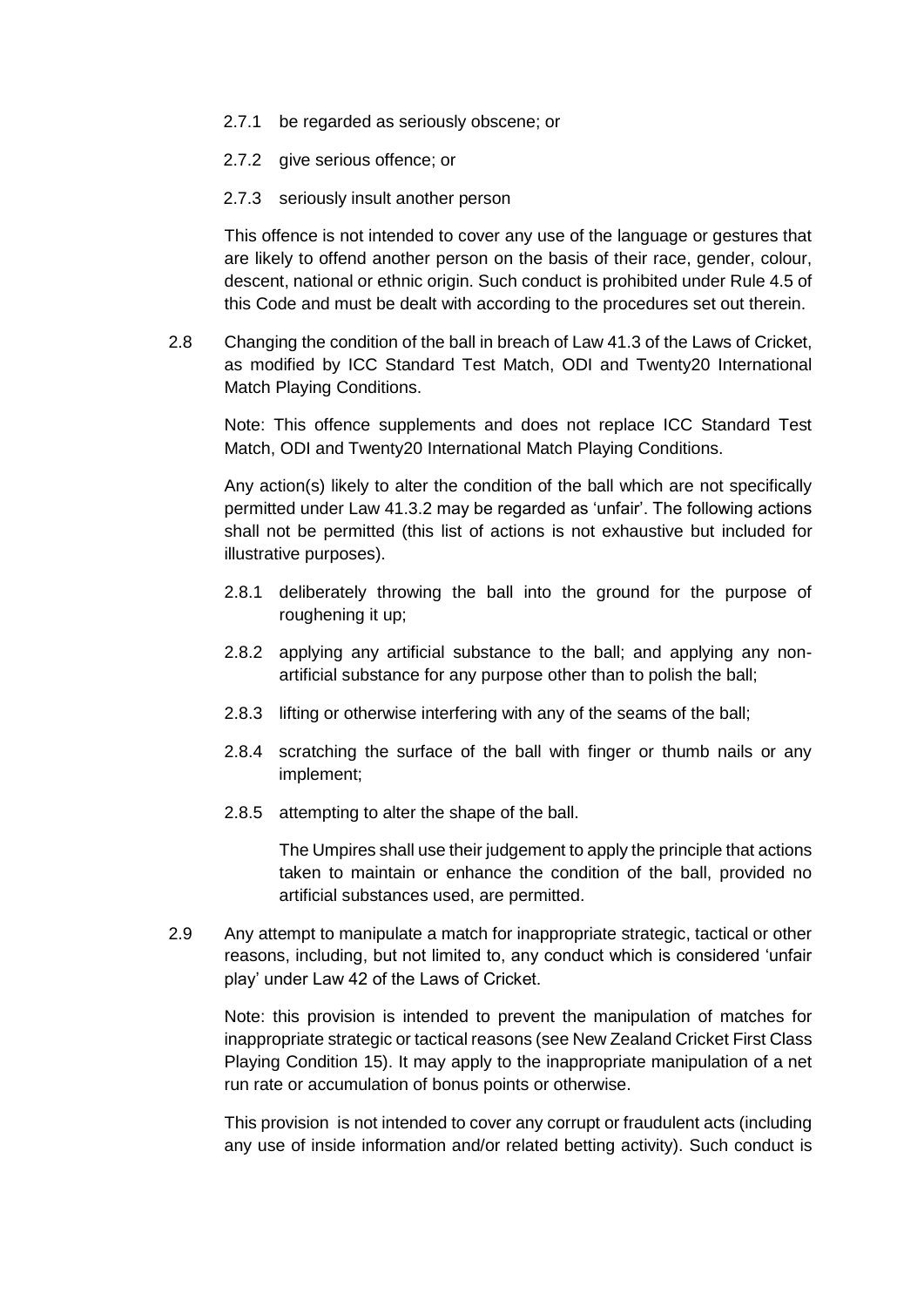- 2.7.1 be regarded as seriously obscene; or
- 2.7.2 give serious offence; or
- 2.7.3 seriously insult another person

This offence is not intended to cover any use of the language or gestures that are likely to offend another person on the basis of their race, gender, colour, descent, national or ethnic origin. Such conduct is prohibited under Rule 4.5 of this Code and must be dealt with according to the procedures set out therein.

2.8 Changing the condition of the ball in breach of Law 41.3 of the Laws of Cricket, as modified by ICC Standard Test Match, ODI and Twenty20 International Match Playing Conditions.

Note: This offence supplements and does not replace ICC Standard Test Match, ODI and Twenty20 International Match Playing Conditions.

Any action(s) likely to alter the condition of the ball which are not specifically permitted under Law 41.3.2 may be regarded as 'unfair'. The following actions shall not be permitted (this list of actions is not exhaustive but included for illustrative purposes).

- 2.8.1 deliberately throwing the ball into the ground for the purpose of roughening it up;
- 2.8.2 applying any artificial substance to the ball; and applying any nonartificial substance for any purpose other than to polish the ball;
- 2.8.3 lifting or otherwise interfering with any of the seams of the ball;
- 2.8.4 scratching the surface of the ball with finger or thumb nails or any implement;
- 2.8.5 attempting to alter the shape of the ball.

The Umpires shall use their judgement to apply the principle that actions taken to maintain or enhance the condition of the ball, provided no artificial substances used, are permitted.

2.9 Any attempt to manipulate a match for inappropriate strategic, tactical or other reasons, including, but not limited to, any conduct which is considered 'unfair play' under Law 42 of the Laws of Cricket.

Note: this provision is intended to prevent the manipulation of matches for inappropriate strategic or tactical reasons (see New Zealand Cricket First Class Playing Condition 15). It may apply to the inappropriate manipulation of a net run rate or accumulation of bonus points or otherwise.

This provision is not intended to cover any corrupt or fraudulent acts (including any use of inside information and/or related betting activity). Such conduct is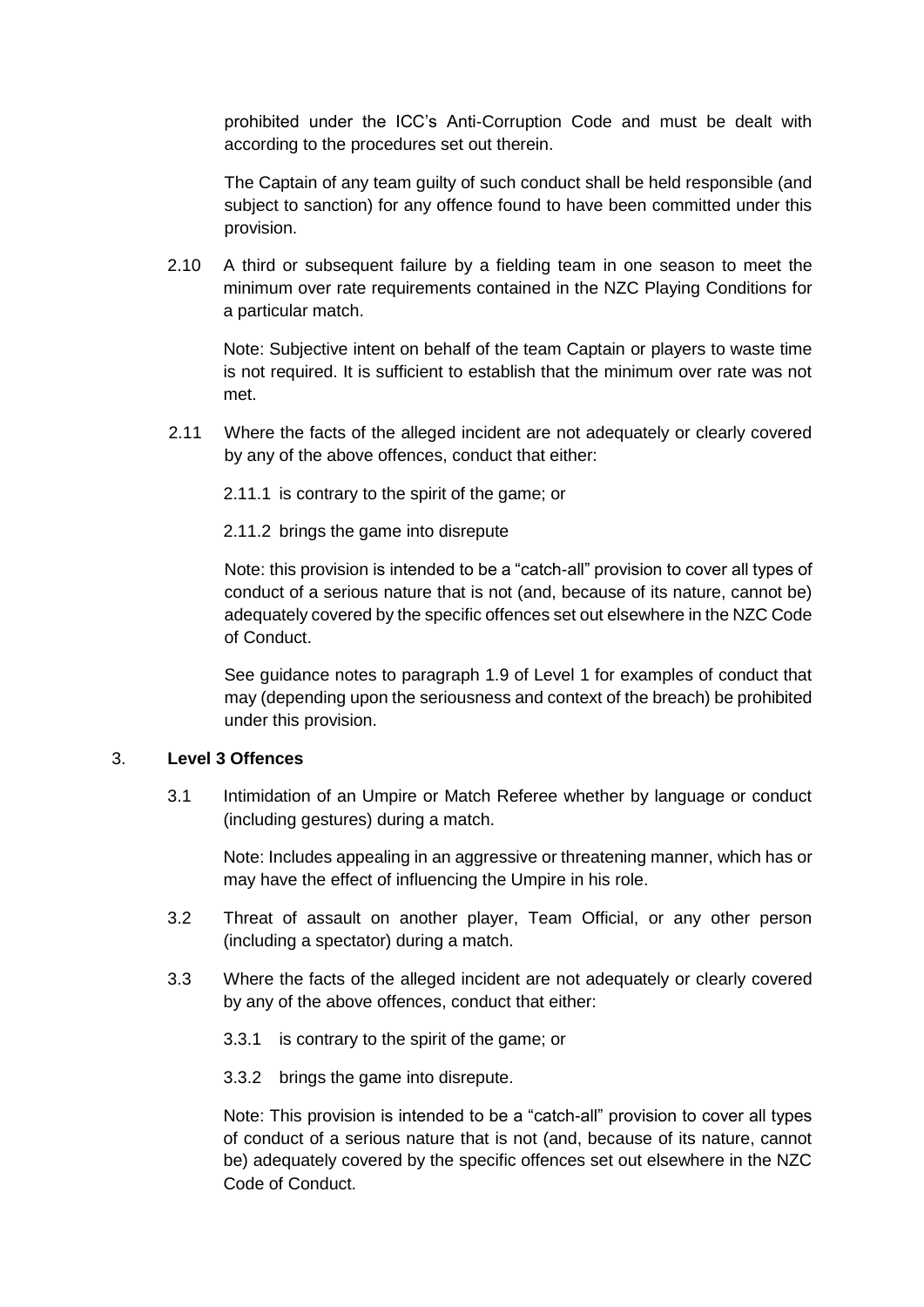prohibited under the ICC's Anti-Corruption Code and must be dealt with according to the procedures set out therein.

The Captain of any team guilty of such conduct shall be held responsible (and subject to sanction) for any offence found to have been committed under this provision.

2.10 A third or subsequent failure by a fielding team in one season to meet the minimum over rate requirements contained in the NZC Playing Conditions for a particular match.

Note: Subjective intent on behalf of the team Captain or players to waste time is not required. It is sufficient to establish that the minimum over rate was not met.

2.11 Where the facts of the alleged incident are not adequately or clearly covered by any of the above offences, conduct that either:

2.11.1 is contrary to the spirit of the game; or

2.11.2 brings the game into disrepute

Note: this provision is intended to be a "catch-all" provision to cover all types of conduct of a serious nature that is not (and, because of its nature, cannot be) adequately covered by the specific offences set out elsewhere in the NZC Code of Conduct.

See guidance notes to paragraph 1.9 of Level 1 for examples of conduct that may (depending upon the seriousness and context of the breach) be prohibited under this provision.

#### 3. **Level 3 Offences**

3.1 Intimidation of an Umpire or Match Referee whether by language or conduct (including gestures) during a match.

Note: Includes appealing in an aggressive or threatening manner, which has or may have the effect of influencing the Umpire in his role.

- 3.2 Threat of assault on another player, Team Official, or any other person (including a spectator) during a match.
- 3.3 Where the facts of the alleged incident are not adequately or clearly covered by any of the above offences, conduct that either:
	- 3.3.1 is contrary to the spirit of the game; or
	- 3.3.2 brings the game into disrepute.

Note: This provision is intended to be a "catch-all" provision to cover all types of conduct of a serious nature that is not (and, because of its nature, cannot be) adequately covered by the specific offences set out elsewhere in the NZC Code of Conduct.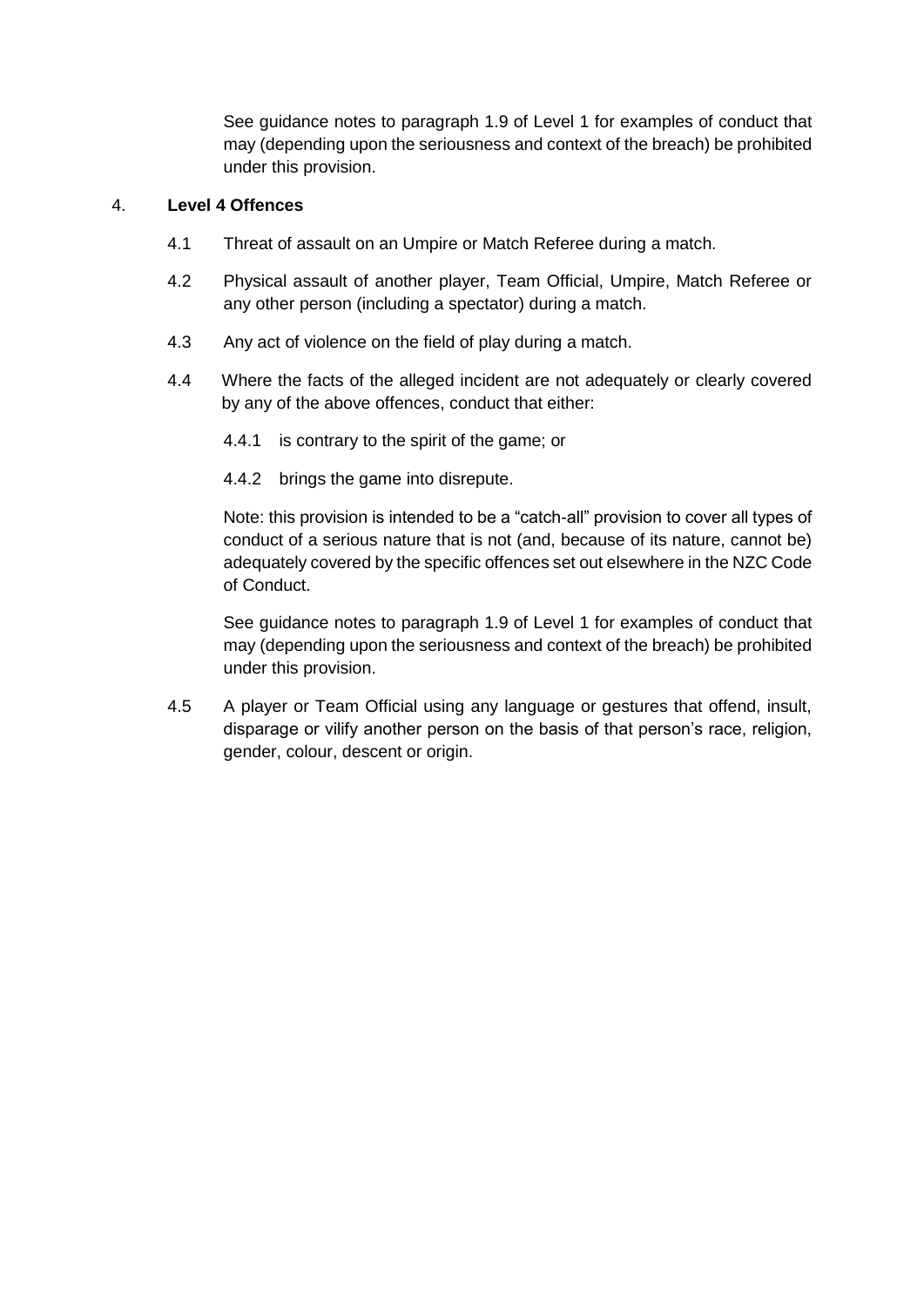See guidance notes to paragraph 1.9 of Level 1 for examples of conduct that may (depending upon the seriousness and context of the breach) be prohibited under this provision.

#### 4. **Level 4 Offences**

- 4.1 Threat of assault on an Umpire or Match Referee during a match.
- 4.2 Physical assault of another player, Team Official, Umpire, Match Referee or any other person (including a spectator) during a match.
- 4.3 Any act of violence on the field of play during a match.
- 4.4 Where the facts of the alleged incident are not adequately or clearly covered by any of the above offences, conduct that either:
	- 4.4.1 is contrary to the spirit of the game; or
	- 4.4.2 brings the game into disrepute.

Note: this provision is intended to be a "catch-all" provision to cover all types of conduct of a serious nature that is not (and, because of its nature, cannot be) adequately covered by the specific offences set out elsewhere in the NZC Code of Conduct.

See guidance notes to paragraph 1.9 of Level 1 for examples of conduct that may (depending upon the seriousness and context of the breach) be prohibited under this provision.

4.5 A player or Team Official using any language or gestures that offend, insult, disparage or vilify another person on the basis of that person's race, religion, gender, colour, descent or origin.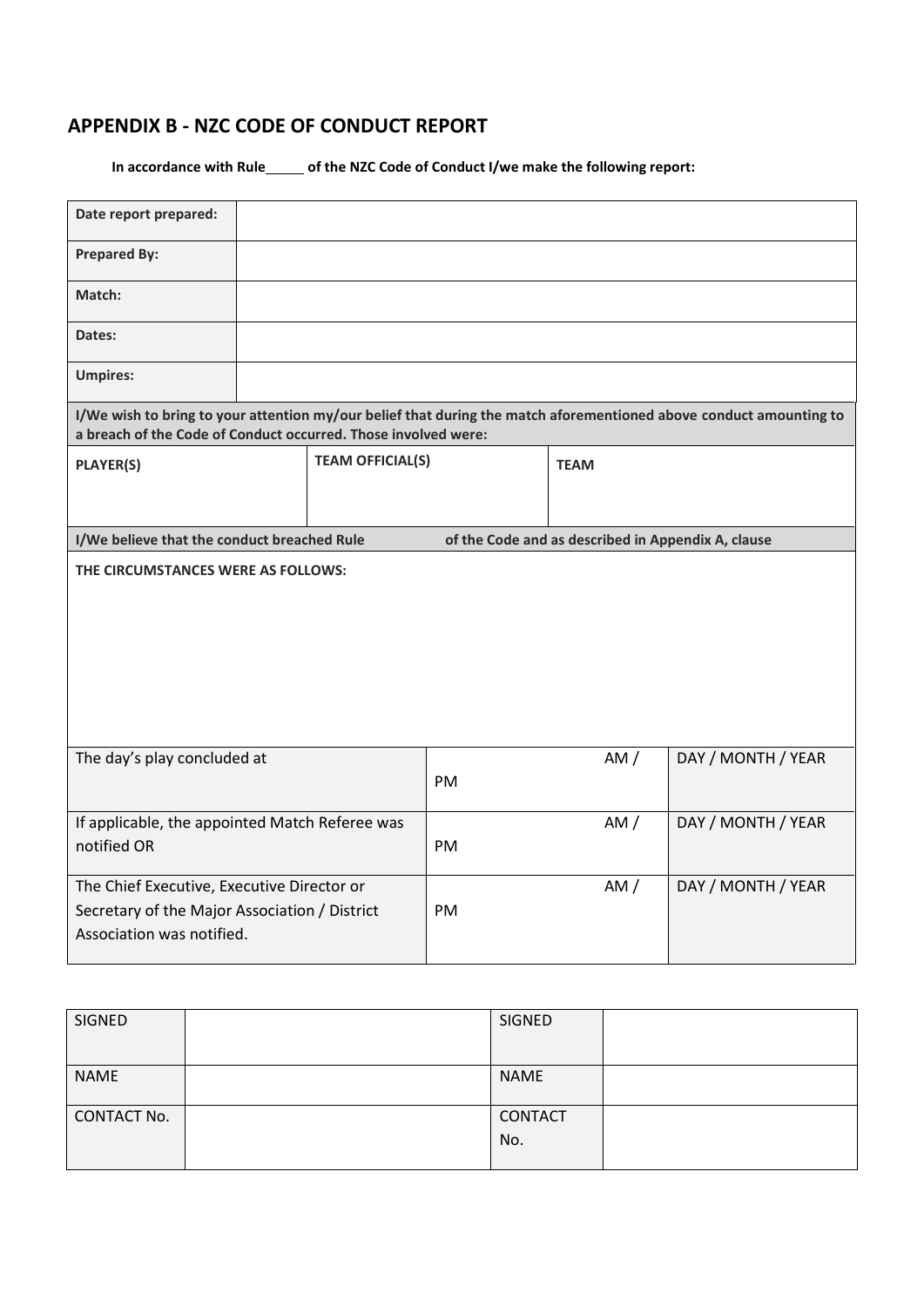### **APPENDIX B - NZC CODE OF CONDUCT REPORT**

In accordance with Rule\_equal of the NZC Code of Conduct I/we make the following report:

| Date report prepared:                                                                                                                                                                |  |                         |           |                                                    |                    |
|--------------------------------------------------------------------------------------------------------------------------------------------------------------------------------------|--|-------------------------|-----------|----------------------------------------------------|--------------------|
| <b>Prepared By:</b>                                                                                                                                                                  |  |                         |           |                                                    |                    |
| Match:                                                                                                                                                                               |  |                         |           |                                                    |                    |
| Dates:                                                                                                                                                                               |  |                         |           |                                                    |                    |
| <b>Umpires:</b>                                                                                                                                                                      |  |                         |           |                                                    |                    |
| I/We wish to bring to your attention my/our belief that during the match aforementioned above conduct amounting to<br>a breach of the Code of Conduct occurred. Those involved were: |  |                         |           |                                                    |                    |
| <b>PLAYER(S)</b>                                                                                                                                                                     |  | <b>TEAM OFFICIAL(S)</b> |           | <b>TEAM</b>                                        |                    |
|                                                                                                                                                                                      |  |                         |           |                                                    |                    |
| I/We believe that the conduct breached Rule                                                                                                                                          |  |                         |           | of the Code and as described in Appendix A, clause |                    |
| THE CIRCUMSTANCES WERE AS FOLLOWS:                                                                                                                                                   |  |                         |           |                                                    |                    |
| The day's play concluded at                                                                                                                                                          |  |                         | PM        | AM/                                                | DAY / MONTH / YEAR |
| If applicable, the appointed Match Referee was<br>notified OR                                                                                                                        |  |                         | PM        | AM/                                                | DAY / MONTH / YEAR |
| The Chief Executive, Executive Director or<br>Secretary of the Major Association / District<br>Association was notified.                                                             |  |                         | <b>PM</b> | AM/                                                | DAY / MONTH / YEAR |

| SIGNED             | SIGNED      |  |
|--------------------|-------------|--|
|                    |             |  |
| <b>NAME</b>        | <b>NAME</b> |  |
|                    |             |  |
| <b>CONTACT No.</b> | CONTACT     |  |
|                    | No.         |  |
|                    |             |  |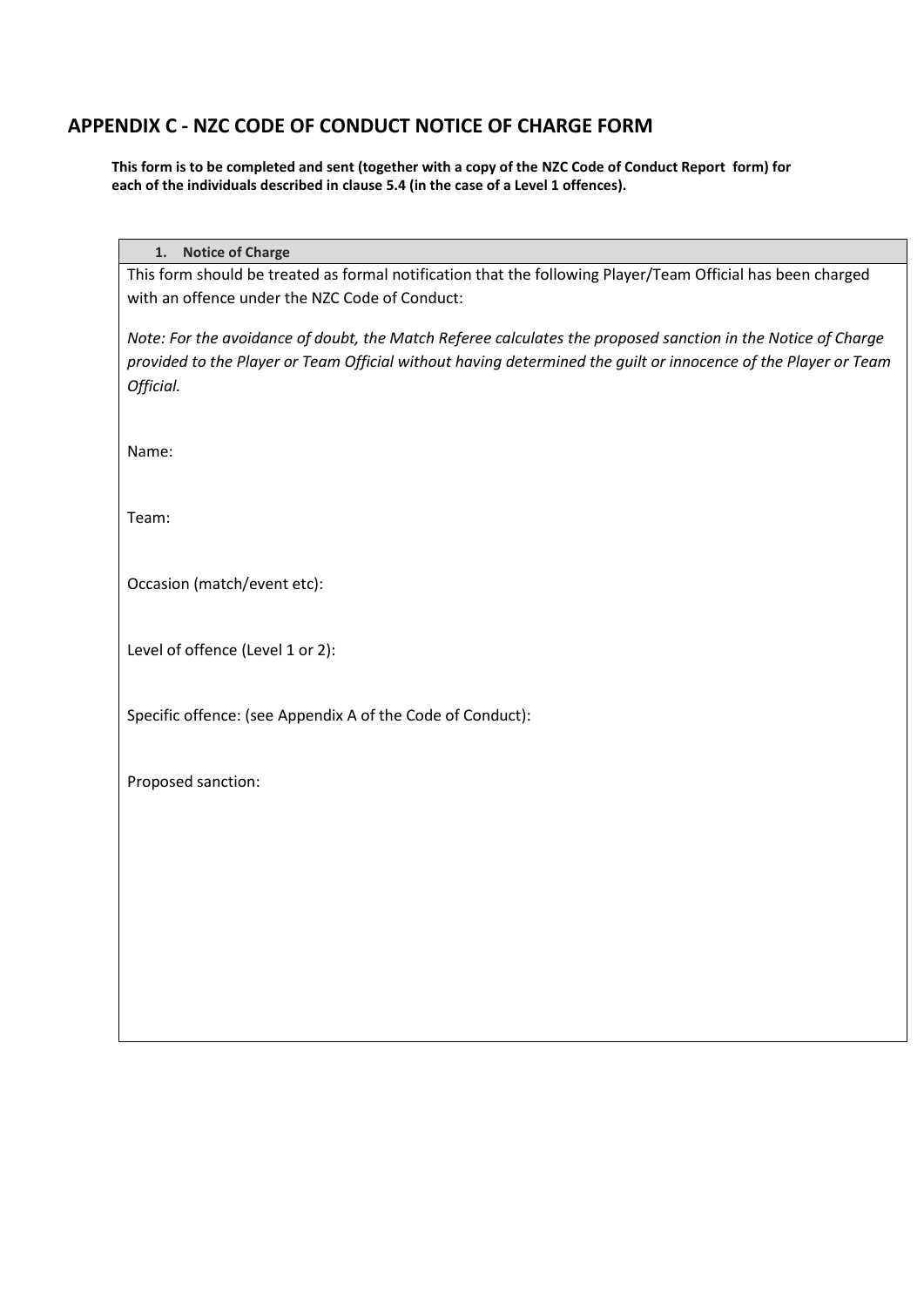#### **APPENDIX C - NZC CODE OF CONDUCT NOTICE OF CHARGE FORM**

**This form is to be completed and sent (together with a copy of the NZC Code of Conduct Report form) for each of the individuals described in clause 5.4 (in the case of a Level 1 offences).**

**1. Notice of Charge** 

This form should be treated as formal notification that the following Player/Team Official has been charged with an offence under the NZC Code of Conduct:

*Note: For the avoidance of doubt, the Match Referee calculates the proposed sanction in the Notice of Charge provided to the Player or Team Official without having determined the guilt or innocence of the Player or Team Official.*

Name:

Team:

Occasion (match/event etc):

Level of offence (Level 1 or 2):

Specific offence: (see Appendix A of the Code of Conduct):

Proposed sanction: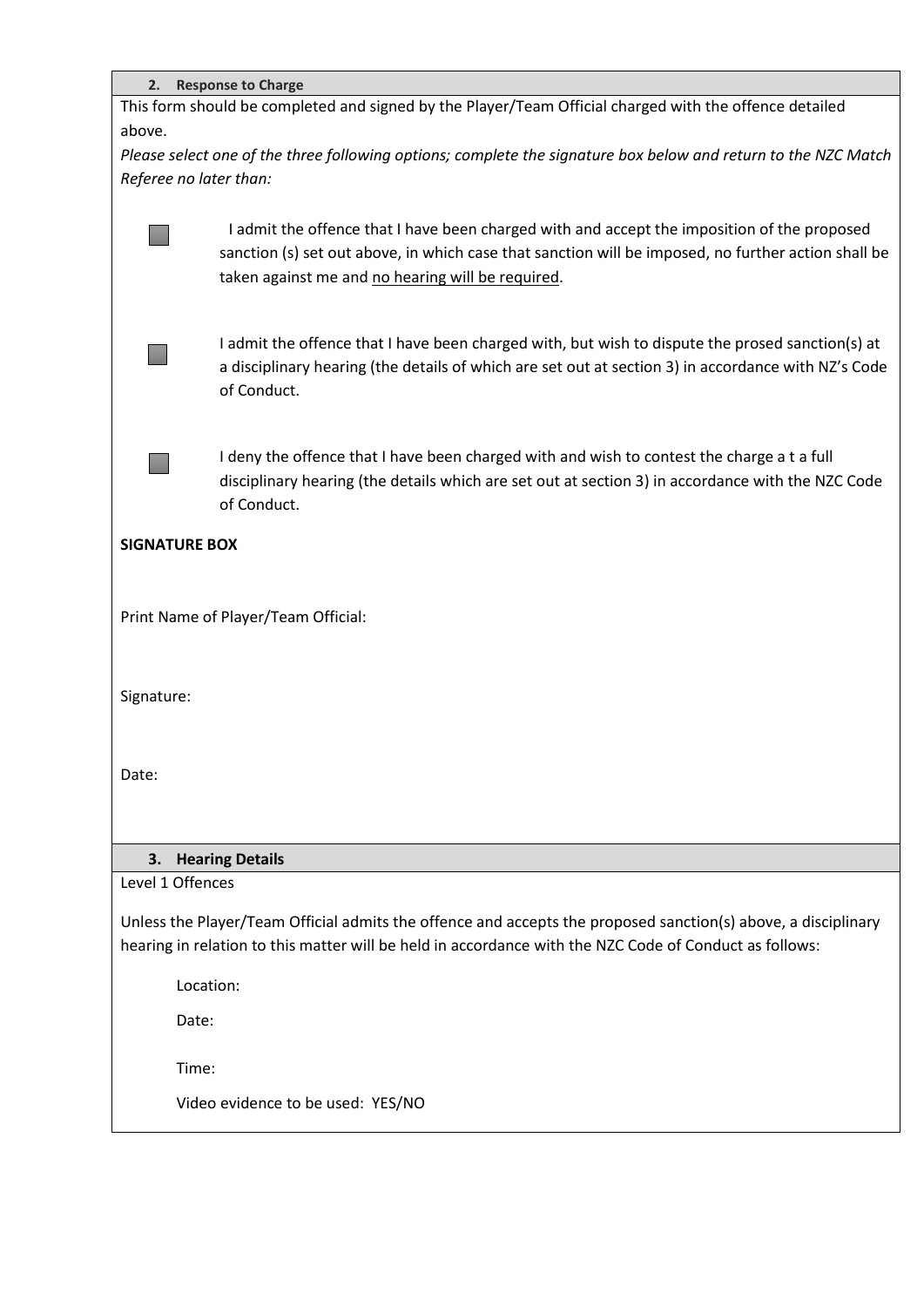|                                                                                                               | 2. Response to Charge                                                                                          |  |  |  |  |
|---------------------------------------------------------------------------------------------------------------|----------------------------------------------------------------------------------------------------------------|--|--|--|--|
| This form should be completed and signed by the Player/Team Official charged with the offence detailed        |                                                                                                                |  |  |  |  |
| above.                                                                                                        |                                                                                                                |  |  |  |  |
|                                                                                                               | Please select one of the three following options; complete the signature box below and return to the NZC Match |  |  |  |  |
|                                                                                                               | Referee no later than:                                                                                         |  |  |  |  |
|                                                                                                               |                                                                                                                |  |  |  |  |
|                                                                                                               | I admit the offence that I have been charged with and accept the imposition of the proposed                    |  |  |  |  |
|                                                                                                               | sanction (s) set out above, in which case that sanction will be imposed, no further action shall be            |  |  |  |  |
|                                                                                                               | taken against me and no hearing will be required.                                                              |  |  |  |  |
|                                                                                                               |                                                                                                                |  |  |  |  |
|                                                                                                               | I admit the offence that I have been charged with, but wish to dispute the prosed sanction(s) at               |  |  |  |  |
|                                                                                                               | a disciplinary hearing (the details of which are set out at section 3) in accordance with NZ's Code            |  |  |  |  |
|                                                                                                               | of Conduct.                                                                                                    |  |  |  |  |
|                                                                                                               |                                                                                                                |  |  |  |  |
|                                                                                                               | I deny the offence that I have been charged with and wish to contest the charge a t a full                     |  |  |  |  |
|                                                                                                               | disciplinary hearing (the details which are set out at section 3) in accordance with the NZC Code              |  |  |  |  |
|                                                                                                               | of Conduct.                                                                                                    |  |  |  |  |
|                                                                                                               |                                                                                                                |  |  |  |  |
| <b>SIGNATURE BOX</b>                                                                                          |                                                                                                                |  |  |  |  |
|                                                                                                               |                                                                                                                |  |  |  |  |
|                                                                                                               | Print Name of Player/Team Official:                                                                            |  |  |  |  |
|                                                                                                               |                                                                                                                |  |  |  |  |
|                                                                                                               |                                                                                                                |  |  |  |  |
| Signature:                                                                                                    |                                                                                                                |  |  |  |  |
|                                                                                                               |                                                                                                                |  |  |  |  |
|                                                                                                               |                                                                                                                |  |  |  |  |
| Date:                                                                                                         |                                                                                                                |  |  |  |  |
|                                                                                                               |                                                                                                                |  |  |  |  |
|                                                                                                               |                                                                                                                |  |  |  |  |
|                                                                                                               |                                                                                                                |  |  |  |  |
| <b>Hearing Details</b><br>3.<br>Level 1 Offences                                                              |                                                                                                                |  |  |  |  |
|                                                                                                               |                                                                                                                |  |  |  |  |
| Unless the Player/Team Official admits the offence and accepts the proposed sanction(s) above, a disciplinary |                                                                                                                |  |  |  |  |
| hearing in relation to this matter will be held in accordance with the NZC Code of Conduct as follows:        |                                                                                                                |  |  |  |  |
|                                                                                                               | Location:                                                                                                      |  |  |  |  |
|                                                                                                               |                                                                                                                |  |  |  |  |
| Date:                                                                                                         |                                                                                                                |  |  |  |  |
|                                                                                                               | Time:                                                                                                          |  |  |  |  |
|                                                                                                               |                                                                                                                |  |  |  |  |
|                                                                                                               | Video evidence to be used: YES/NO                                                                              |  |  |  |  |